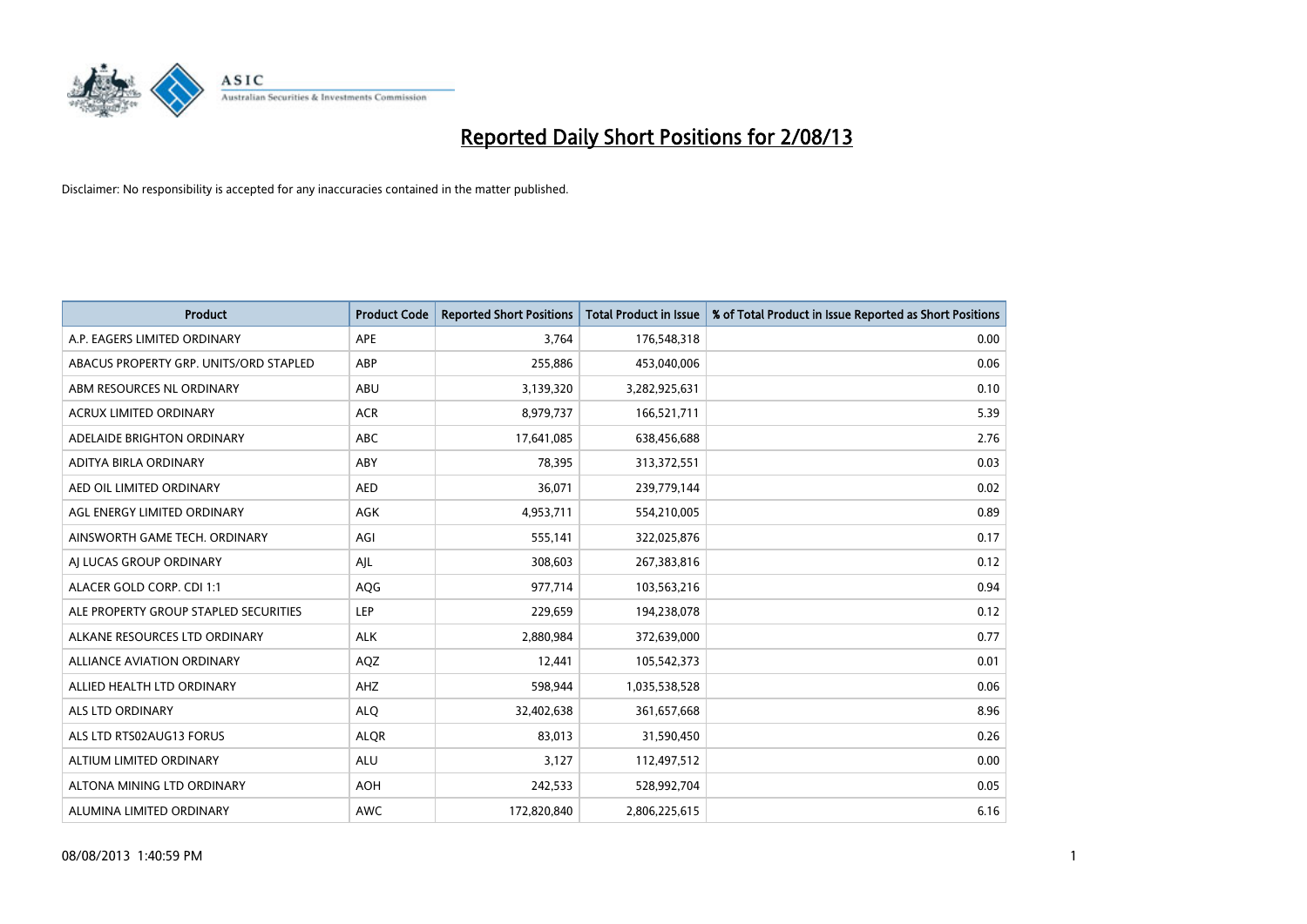

| <b>Product</b>                         | <b>Product Code</b> | <b>Reported Short Positions</b> | <b>Total Product in Issue</b> | % of Total Product in Issue Reported as Short Positions |
|----------------------------------------|---------------------|---------------------------------|-------------------------------|---------------------------------------------------------|
| A.P. EAGERS LIMITED ORDINARY           | APE                 | 3,764                           | 176,548,318                   | 0.00                                                    |
| ABACUS PROPERTY GRP. UNITS/ORD STAPLED | ABP                 | 255,886                         | 453,040,006                   | 0.06                                                    |
| ABM RESOURCES NL ORDINARY              | ABU                 | 3,139,320                       | 3,282,925,631                 | 0.10                                                    |
| ACRUX LIMITED ORDINARY                 | <b>ACR</b>          | 8,979,737                       | 166,521,711                   | 5.39                                                    |
| ADELAIDE BRIGHTON ORDINARY             | <b>ABC</b>          | 17,641,085                      | 638,456,688                   | 2.76                                                    |
| ADITYA BIRLA ORDINARY                  | ABY                 | 78,395                          | 313,372,551                   | 0.03                                                    |
| AED OIL LIMITED ORDINARY               | <b>AED</b>          | 36,071                          | 239,779,144                   | 0.02                                                    |
| AGL ENERGY LIMITED ORDINARY            | AGK                 | 4,953,711                       | 554,210,005                   | 0.89                                                    |
| AINSWORTH GAME TECH. ORDINARY          | AGI                 | 555,141                         | 322,025,876                   | 0.17                                                    |
| AI LUCAS GROUP ORDINARY                | AJL                 | 308,603                         | 267,383,816                   | 0.12                                                    |
| ALACER GOLD CORP. CDI 1:1              | AQG                 | 977,714                         | 103,563,216                   | 0.94                                                    |
| ALE PROPERTY GROUP STAPLED SECURITIES  | LEP                 | 229,659                         | 194,238,078                   | 0.12                                                    |
| ALKANE RESOURCES LTD ORDINARY          | <b>ALK</b>          | 2,880,984                       | 372,639,000                   | 0.77                                                    |
| <b>ALLIANCE AVIATION ORDINARY</b>      | AQZ                 | 12,441                          | 105,542,373                   | 0.01                                                    |
| ALLIED HEALTH LTD ORDINARY             | AHZ                 | 598,944                         | 1,035,538,528                 | 0.06                                                    |
| ALS LTD ORDINARY                       | <b>ALQ</b>          | 32,402,638                      | 361,657,668                   | 8.96                                                    |
| ALS LTD RTS02AUG13 FORUS               | <b>ALQR</b>         | 83,013                          | 31,590,450                    | 0.26                                                    |
| ALTIUM LIMITED ORDINARY                | ALU                 | 3,127                           | 112,497,512                   | 0.00                                                    |
| ALTONA MINING LTD ORDINARY             | <b>AOH</b>          | 242,533                         | 528,992,704                   | 0.05                                                    |
| ALUMINA LIMITED ORDINARY               | <b>AWC</b>          | 172,820,840                     | 2,806,225,615                 | 6.16                                                    |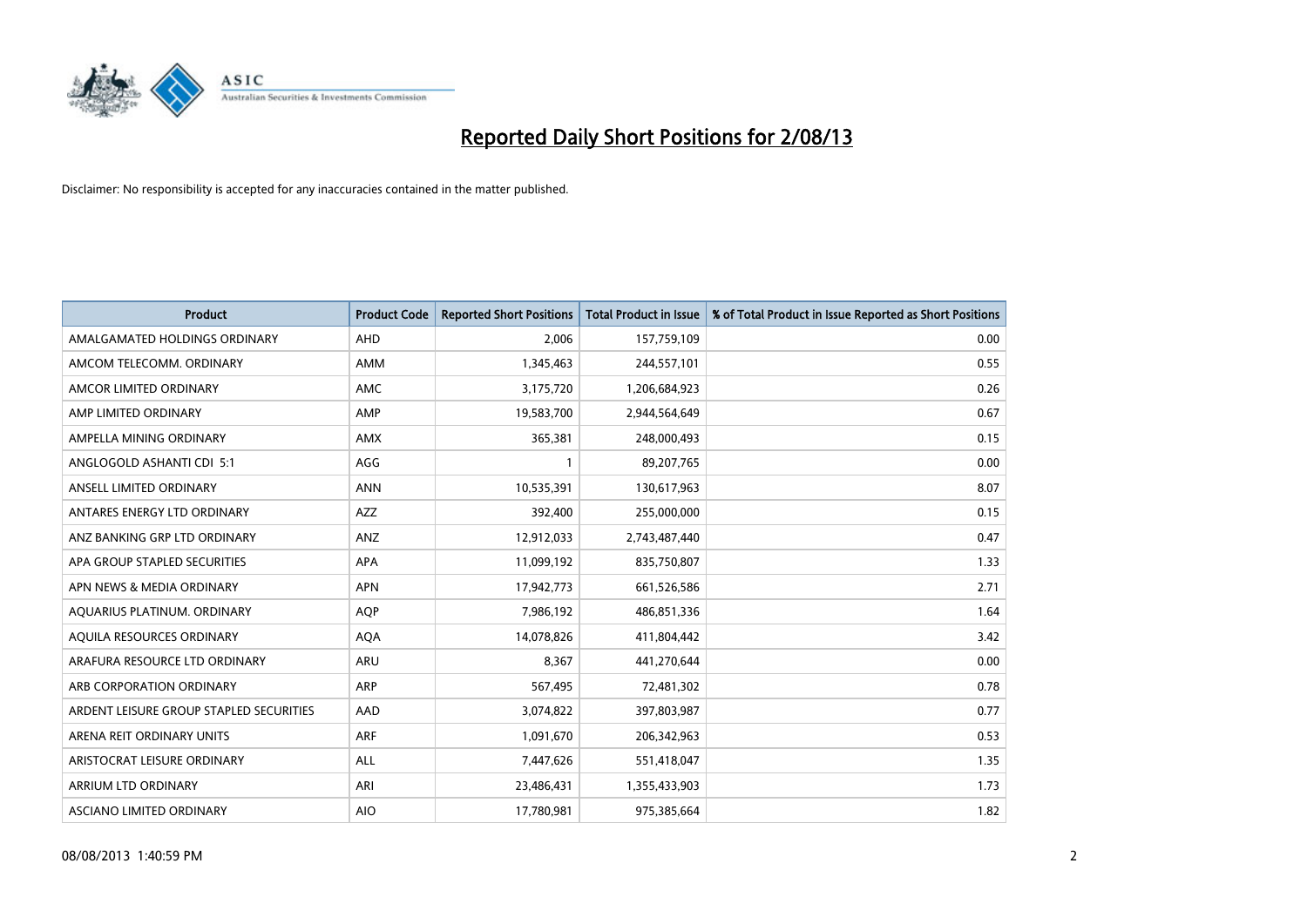

| <b>Product</b>                          | <b>Product Code</b> | <b>Reported Short Positions</b> | <b>Total Product in Issue</b> | % of Total Product in Issue Reported as Short Positions |
|-----------------------------------------|---------------------|---------------------------------|-------------------------------|---------------------------------------------------------|
| AMALGAMATED HOLDINGS ORDINARY           | AHD                 | 2,006                           | 157,759,109                   | 0.00                                                    |
| AMCOM TELECOMM. ORDINARY                | AMM                 | 1,345,463                       | 244,557,101                   | 0.55                                                    |
| AMCOR LIMITED ORDINARY                  | AMC                 | 3,175,720                       | 1,206,684,923                 | 0.26                                                    |
| AMP LIMITED ORDINARY                    | AMP                 | 19,583,700                      | 2,944,564,649                 | 0.67                                                    |
| AMPELLA MINING ORDINARY                 | <b>AMX</b>          | 365,381                         | 248,000,493                   | 0.15                                                    |
| ANGLOGOLD ASHANTI CDI 5:1               | AGG                 | 1                               | 89,207,765                    | 0.00                                                    |
| ANSELL LIMITED ORDINARY                 | <b>ANN</b>          | 10,535,391                      | 130,617,963                   | 8.07                                                    |
| ANTARES ENERGY LTD ORDINARY             | AZZ                 | 392,400                         | 255,000,000                   | 0.15                                                    |
| ANZ BANKING GRP LTD ORDINARY            | ANZ                 | 12,912,033                      | 2,743,487,440                 | 0.47                                                    |
| APA GROUP STAPLED SECURITIES            | <b>APA</b>          | 11,099,192                      | 835,750,807                   | 1.33                                                    |
| APN NEWS & MEDIA ORDINARY               | <b>APN</b>          | 17,942,773                      | 661,526,586                   | 2.71                                                    |
| AQUARIUS PLATINUM. ORDINARY             | <b>AQP</b>          | 7,986,192                       | 486,851,336                   | 1.64                                                    |
| AQUILA RESOURCES ORDINARY               | <b>AQA</b>          | 14,078,826                      | 411,804,442                   | 3.42                                                    |
| ARAFURA RESOURCE LTD ORDINARY           | ARU                 | 8,367                           | 441,270,644                   | 0.00                                                    |
| ARB CORPORATION ORDINARY                | ARP                 | 567,495                         | 72,481,302                    | 0.78                                                    |
| ARDENT LEISURE GROUP STAPLED SECURITIES | AAD                 | 3,074,822                       | 397,803,987                   | 0.77                                                    |
| ARENA REIT ORDINARY UNITS               | ARF                 | 1,091,670                       | 206,342,963                   | 0.53                                                    |
| ARISTOCRAT LEISURE ORDINARY             | <b>ALL</b>          | 7,447,626                       | 551,418,047                   | 1.35                                                    |
| ARRIUM LTD ORDINARY                     | ARI                 | 23,486,431                      | 1,355,433,903                 | 1.73                                                    |
| ASCIANO LIMITED ORDINARY                | <b>AIO</b>          | 17,780,981                      | 975,385,664                   | 1.82                                                    |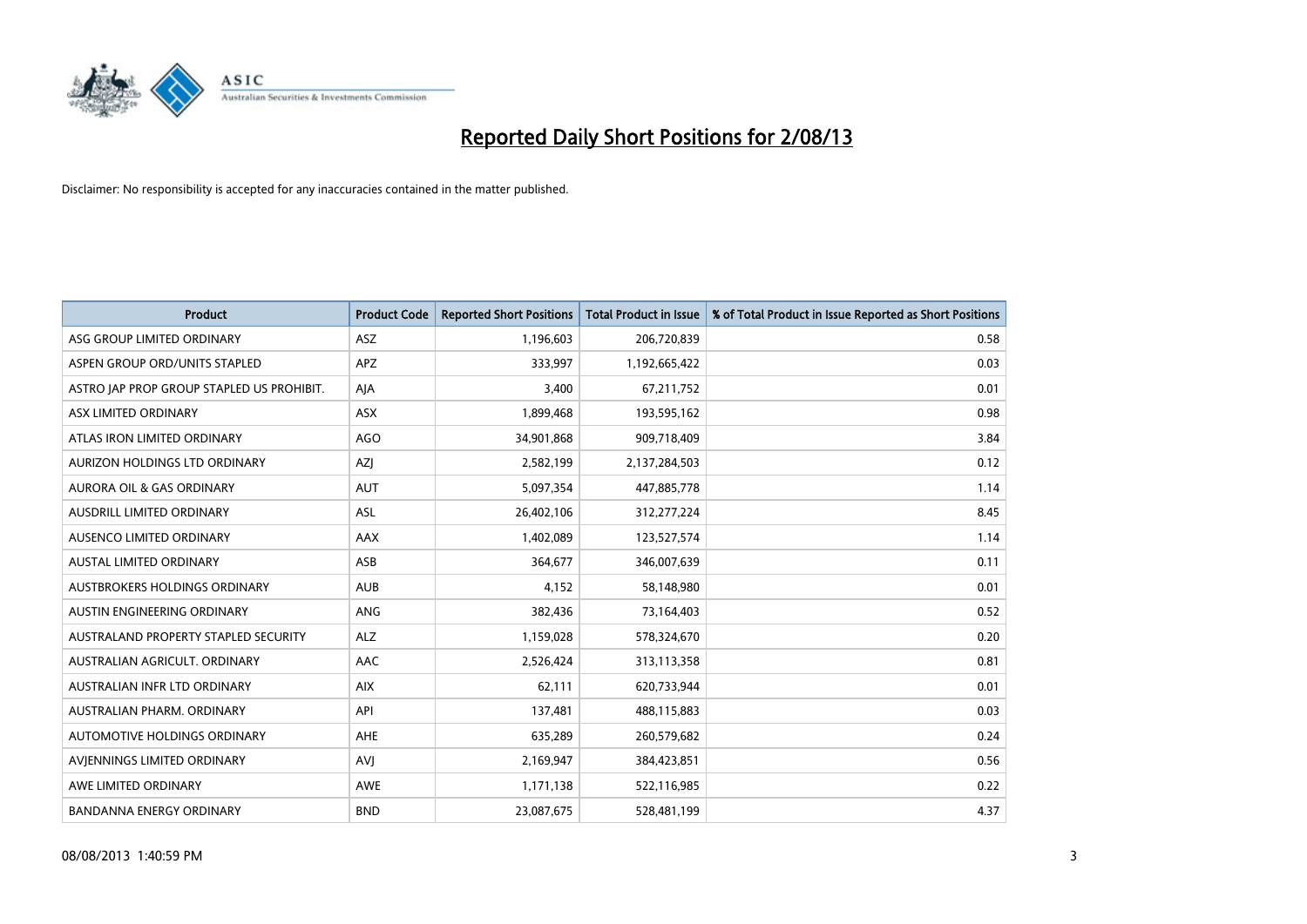

| <b>Product</b>                            | <b>Product Code</b> | <b>Reported Short Positions</b> | <b>Total Product in Issue</b> | % of Total Product in Issue Reported as Short Positions |
|-------------------------------------------|---------------------|---------------------------------|-------------------------------|---------------------------------------------------------|
| ASG GROUP LIMITED ORDINARY                | ASZ                 | 1,196,603                       | 206,720,839                   | 0.58                                                    |
| ASPEN GROUP ORD/UNITS STAPLED             | <b>APZ</b>          | 333,997                         | 1,192,665,422                 | 0.03                                                    |
| ASTRO JAP PROP GROUP STAPLED US PROHIBIT. | AJA                 | 3,400                           | 67,211,752                    | 0.01                                                    |
| ASX LIMITED ORDINARY                      | ASX                 | 1,899,468                       | 193,595,162                   | 0.98                                                    |
| ATLAS IRON LIMITED ORDINARY               | <b>AGO</b>          | 34,901,868                      | 909,718,409                   | 3.84                                                    |
| AURIZON HOLDINGS LTD ORDINARY             | AZJ                 | 2,582,199                       | 2,137,284,503                 | 0.12                                                    |
| AURORA OIL & GAS ORDINARY                 | <b>AUT</b>          | 5,097,354                       | 447,885,778                   | 1.14                                                    |
| AUSDRILL LIMITED ORDINARY                 | ASL                 | 26,402,106                      | 312,277,224                   | 8.45                                                    |
| AUSENCO LIMITED ORDINARY                  | AAX                 | 1,402,089                       | 123,527,574                   | 1.14                                                    |
| <b>AUSTAL LIMITED ORDINARY</b>            | ASB                 | 364,677                         | 346,007,639                   | 0.11                                                    |
| AUSTBROKERS HOLDINGS ORDINARY             | <b>AUB</b>          | 4,152                           | 58,148,980                    | 0.01                                                    |
| AUSTIN ENGINEERING ORDINARY               | ANG                 | 382,436                         | 73,164,403                    | 0.52                                                    |
| AUSTRALAND PROPERTY STAPLED SECURITY      | <b>ALZ</b>          | 1,159,028                       | 578,324,670                   | 0.20                                                    |
| AUSTRALIAN AGRICULT, ORDINARY             | AAC                 | 2,526,424                       | 313,113,358                   | 0.81                                                    |
| AUSTRALIAN INFR LTD ORDINARY              | <b>AIX</b>          | 62,111                          | 620,733,944                   | 0.01                                                    |
| AUSTRALIAN PHARM. ORDINARY                | API                 | 137,481                         | 488,115,883                   | 0.03                                                    |
| AUTOMOTIVE HOLDINGS ORDINARY              | AHE                 | 635,289                         | 260,579,682                   | 0.24                                                    |
| AVJENNINGS LIMITED ORDINARY               | <b>AVJ</b>          | 2,169,947                       | 384,423,851                   | 0.56                                                    |
| AWE LIMITED ORDINARY                      | <b>AWE</b>          | 1,171,138                       | 522,116,985                   | 0.22                                                    |
| <b>BANDANNA ENERGY ORDINARY</b>           | <b>BND</b>          | 23,087,675                      | 528,481,199                   | 4.37                                                    |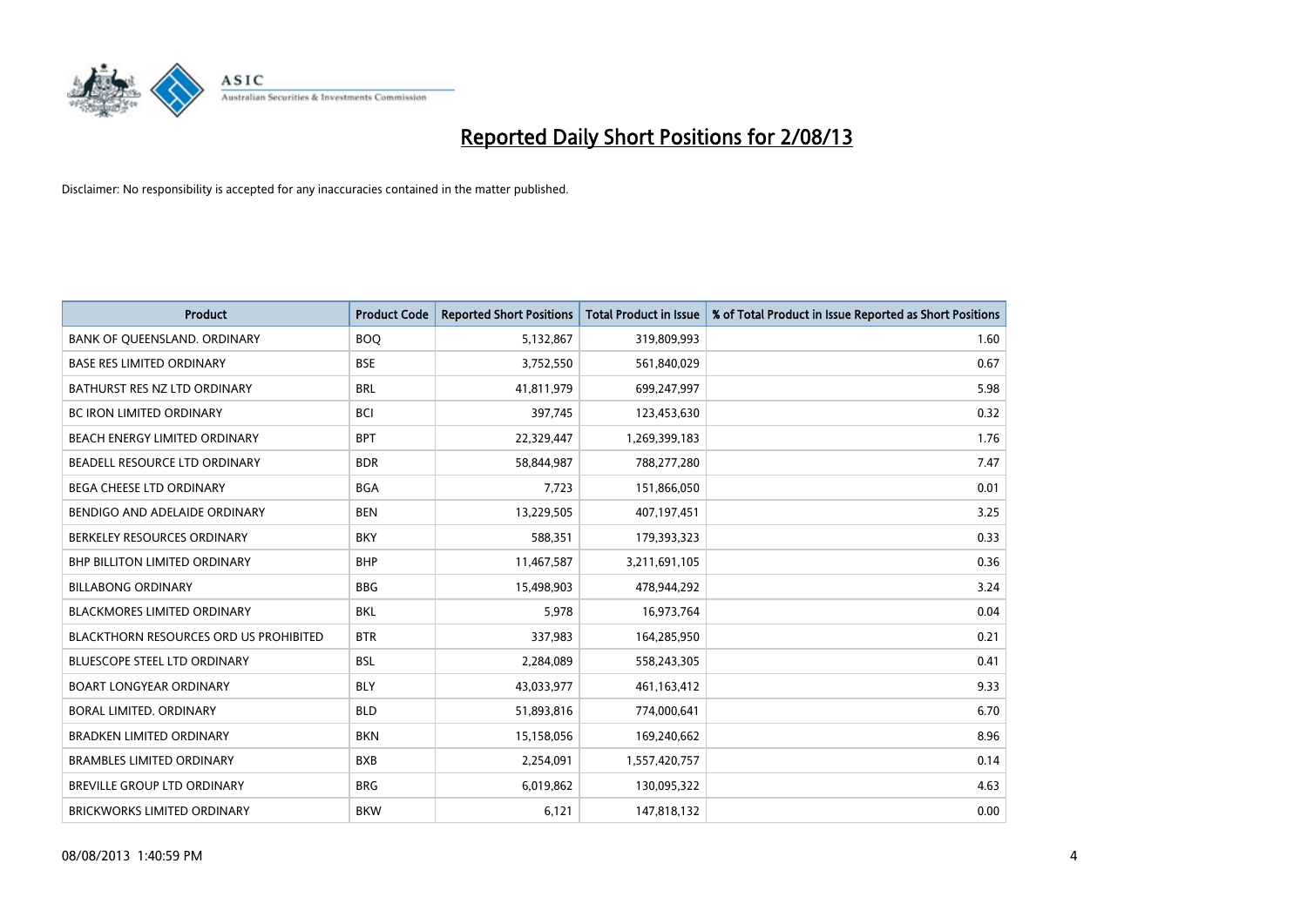

| <b>Product</b>                         | <b>Product Code</b> | <b>Reported Short Positions</b> | <b>Total Product in Issue</b> | % of Total Product in Issue Reported as Short Positions |
|----------------------------------------|---------------------|---------------------------------|-------------------------------|---------------------------------------------------------|
| BANK OF QUEENSLAND. ORDINARY           | <b>BOQ</b>          | 5,132,867                       | 319,809,993                   | 1.60                                                    |
| <b>BASE RES LIMITED ORDINARY</b>       | <b>BSE</b>          | 3,752,550                       | 561,840,029                   | 0.67                                                    |
| BATHURST RES NZ LTD ORDINARY           | <b>BRL</b>          | 41,811,979                      | 699,247,997                   | 5.98                                                    |
| <b>BC IRON LIMITED ORDINARY</b>        | BCI                 | 397,745                         | 123,453,630                   | 0.32                                                    |
| BEACH ENERGY LIMITED ORDINARY          | <b>BPT</b>          | 22,329,447                      | 1,269,399,183                 | 1.76                                                    |
| BEADELL RESOURCE LTD ORDINARY          | <b>BDR</b>          | 58,844,987                      | 788,277,280                   | 7.47                                                    |
| <b>BEGA CHEESE LTD ORDINARY</b>        | <b>BGA</b>          | 7,723                           | 151,866,050                   | 0.01                                                    |
| BENDIGO AND ADELAIDE ORDINARY          | <b>BEN</b>          | 13,229,505                      | 407,197,451                   | 3.25                                                    |
| BERKELEY RESOURCES ORDINARY            | <b>BKY</b>          | 588,351                         | 179,393,323                   | 0.33                                                    |
| <b>BHP BILLITON LIMITED ORDINARY</b>   | <b>BHP</b>          | 11,467,587                      | 3,211,691,105                 | 0.36                                                    |
| <b>BILLABONG ORDINARY</b>              | <b>BBG</b>          | 15,498,903                      | 478,944,292                   | 3.24                                                    |
| <b>BLACKMORES LIMITED ORDINARY</b>     | <b>BKL</b>          | 5,978                           | 16,973,764                    | 0.04                                                    |
| BLACKTHORN RESOURCES ORD US PROHIBITED | <b>BTR</b>          | 337,983                         | 164,285,950                   | 0.21                                                    |
| <b>BLUESCOPE STEEL LTD ORDINARY</b>    | <b>BSL</b>          | 2,284,089                       | 558,243,305                   | 0.41                                                    |
| <b>BOART LONGYEAR ORDINARY</b>         | <b>BLY</b>          | 43,033,977                      | 461,163,412                   | 9.33                                                    |
| BORAL LIMITED. ORDINARY                | <b>BLD</b>          | 51,893,816                      | 774,000,641                   | 6.70                                                    |
| <b>BRADKEN LIMITED ORDINARY</b>        | <b>BKN</b>          | 15,158,056                      | 169,240,662                   | 8.96                                                    |
| <b>BRAMBLES LIMITED ORDINARY</b>       | <b>BXB</b>          | 2,254,091                       | 1,557,420,757                 | 0.14                                                    |
| <b>BREVILLE GROUP LTD ORDINARY</b>     | <b>BRG</b>          | 6,019,862                       | 130,095,322                   | 4.63                                                    |
| BRICKWORKS LIMITED ORDINARY            | <b>BKW</b>          | 6,121                           | 147,818,132                   | 0.00                                                    |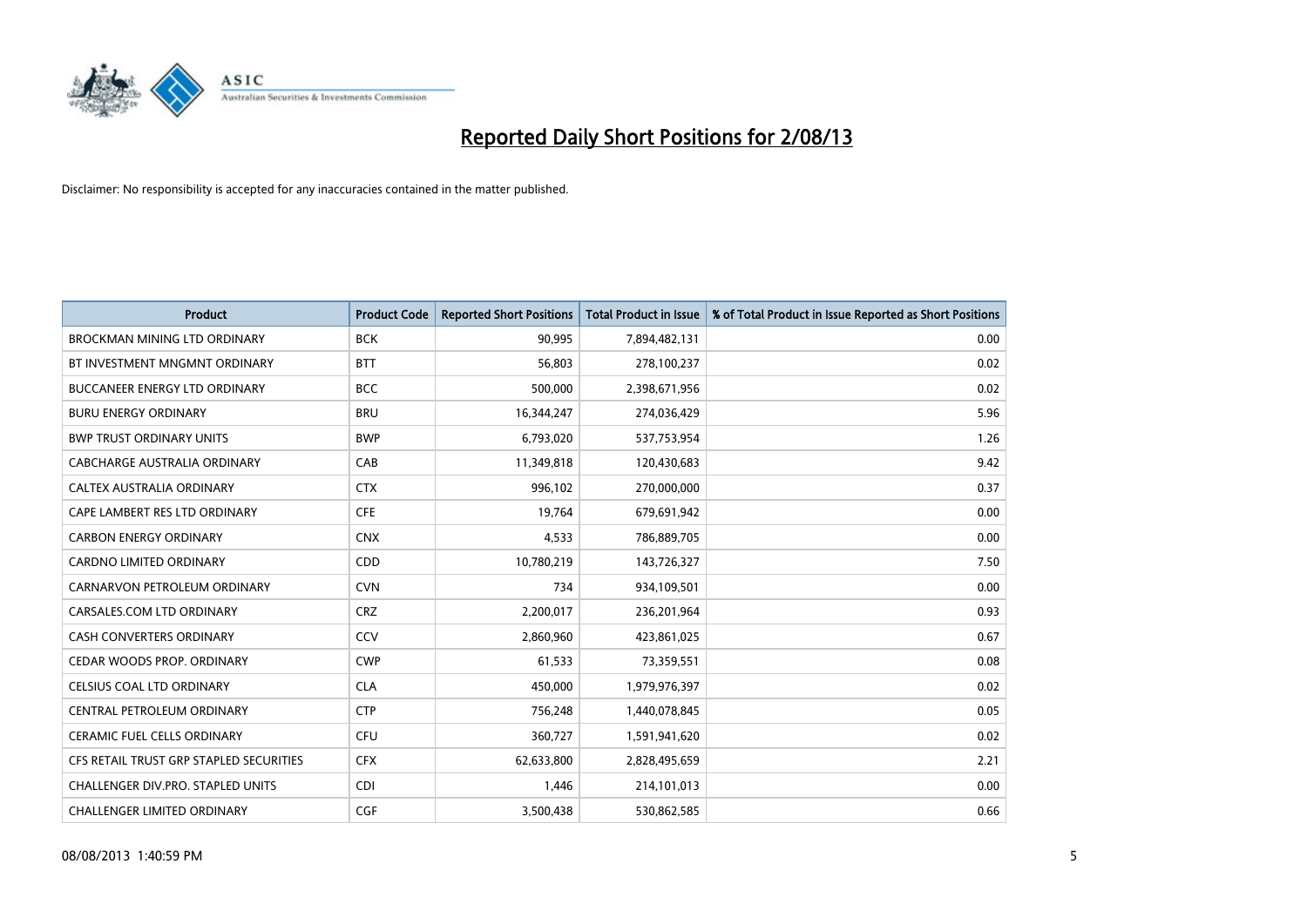

| <b>Product</b>                          | <b>Product Code</b> | <b>Reported Short Positions</b> | <b>Total Product in Issue</b> | % of Total Product in Issue Reported as Short Positions |
|-----------------------------------------|---------------------|---------------------------------|-------------------------------|---------------------------------------------------------|
| <b>BROCKMAN MINING LTD ORDINARY</b>     | <b>BCK</b>          | 90,995                          | 7,894,482,131                 | 0.00                                                    |
| BT INVESTMENT MNGMNT ORDINARY           | <b>BTT</b>          | 56,803                          | 278,100,237                   | 0.02                                                    |
| <b>BUCCANEER ENERGY LTD ORDINARY</b>    | <b>BCC</b>          | 500,000                         | 2,398,671,956                 | 0.02                                                    |
| <b>BURU ENERGY ORDINARY</b>             | <b>BRU</b>          | 16,344,247                      | 274,036,429                   | 5.96                                                    |
| <b>BWP TRUST ORDINARY UNITS</b>         | <b>BWP</b>          | 6,793,020                       | 537,753,954                   | 1.26                                                    |
| CABCHARGE AUSTRALIA ORDINARY            | CAB                 | 11,349,818                      | 120,430,683                   | 9.42                                                    |
| CALTEX AUSTRALIA ORDINARY               | <b>CTX</b>          | 996,102                         | 270,000,000                   | 0.37                                                    |
| CAPE LAMBERT RES LTD ORDINARY           | <b>CFE</b>          | 19,764                          | 679,691,942                   | 0.00                                                    |
| <b>CARBON ENERGY ORDINARY</b>           | <b>CNX</b>          | 4,533                           | 786,889,705                   | 0.00                                                    |
| <b>CARDNO LIMITED ORDINARY</b>          | CDD                 | 10,780,219                      | 143,726,327                   | 7.50                                                    |
| CARNARVON PETROLEUM ORDINARY            | <b>CVN</b>          | 734                             | 934,109,501                   | 0.00                                                    |
| CARSALES.COM LTD ORDINARY               | <b>CRZ</b>          | 2,200,017                       | 236,201,964                   | 0.93                                                    |
| <b>CASH CONVERTERS ORDINARY</b>         | CCV                 | 2,860,960                       | 423,861,025                   | 0.67                                                    |
| CEDAR WOODS PROP. ORDINARY              | <b>CWP</b>          | 61,533                          | 73,359,551                    | 0.08                                                    |
| CELSIUS COAL LTD ORDINARY               | <b>CLA</b>          | 450,000                         | 1,979,976,397                 | 0.02                                                    |
| CENTRAL PETROLEUM ORDINARY              | <b>CTP</b>          | 756,248                         | 1,440,078,845                 | 0.05                                                    |
| CERAMIC FUEL CELLS ORDINARY             | <b>CFU</b>          | 360,727                         | 1,591,941,620                 | 0.02                                                    |
| CFS RETAIL TRUST GRP STAPLED SECURITIES | <b>CFX</b>          | 62,633,800                      | 2,828,495,659                 | 2.21                                                    |
| CHALLENGER DIV.PRO. STAPLED UNITS       | <b>CDI</b>          | 1,446                           | 214,101,013                   | 0.00                                                    |
| <b>CHALLENGER LIMITED ORDINARY</b>      | <b>CGF</b>          | 3,500,438                       | 530,862,585                   | 0.66                                                    |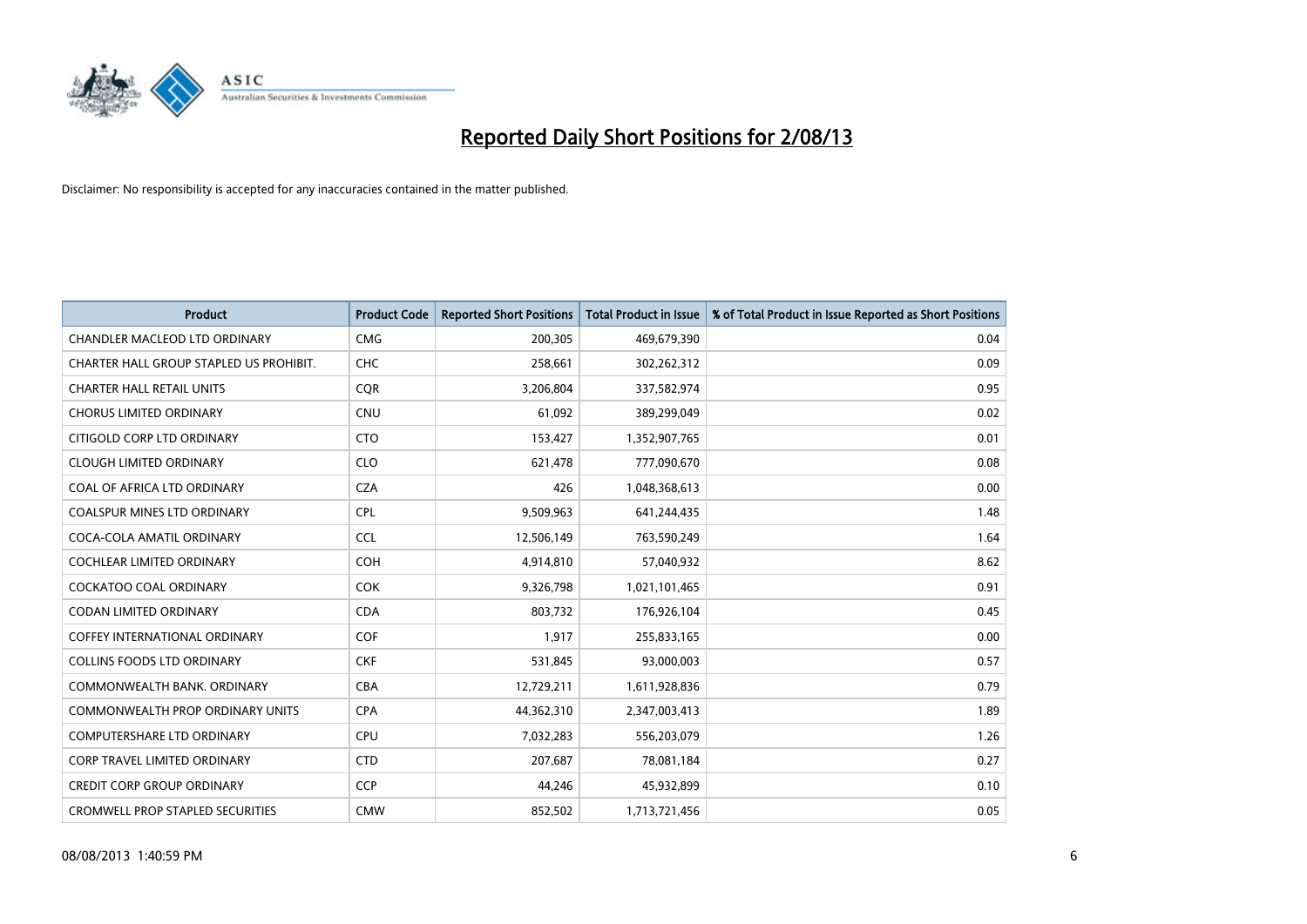

| <b>Product</b>                          | <b>Product Code</b> | <b>Reported Short Positions</b> | <b>Total Product in Issue</b> | % of Total Product in Issue Reported as Short Positions |
|-----------------------------------------|---------------------|---------------------------------|-------------------------------|---------------------------------------------------------|
| CHANDLER MACLEOD LTD ORDINARY           | <b>CMG</b>          | 200,305                         | 469,679,390                   | 0.04                                                    |
| CHARTER HALL GROUP STAPLED US PROHIBIT. | <b>CHC</b>          | 258,661                         | 302,262,312                   | 0.09                                                    |
| <b>CHARTER HALL RETAIL UNITS</b>        | <b>CQR</b>          | 3,206,804                       | 337,582,974                   | 0.95                                                    |
| <b>CHORUS LIMITED ORDINARY</b>          | <b>CNU</b>          | 61,092                          | 389,299,049                   | 0.02                                                    |
| CITIGOLD CORP LTD ORDINARY              | <b>CTO</b>          | 153,427                         | 1,352,907,765                 | 0.01                                                    |
| <b>CLOUGH LIMITED ORDINARY</b>          | <b>CLO</b>          | 621,478                         | 777,090,670                   | 0.08                                                    |
| COAL OF AFRICA LTD ORDINARY             | <b>CZA</b>          | 426                             | 1,048,368,613                 | 0.00                                                    |
| <b>COALSPUR MINES LTD ORDINARY</b>      | <b>CPL</b>          | 9,509,963                       | 641,244,435                   | 1.48                                                    |
| COCA-COLA AMATIL ORDINARY               | <b>CCL</b>          | 12,506,149                      | 763,590,249                   | 1.64                                                    |
| <b>COCHLEAR LIMITED ORDINARY</b>        | <b>COH</b>          | 4,914,810                       | 57,040,932                    | 8.62                                                    |
| <b>COCKATOO COAL ORDINARY</b>           | <b>COK</b>          | 9,326,798                       | 1,021,101,465                 | 0.91                                                    |
| <b>CODAN LIMITED ORDINARY</b>           | <b>CDA</b>          | 803,732                         | 176,926,104                   | 0.45                                                    |
| <b>COFFEY INTERNATIONAL ORDINARY</b>    | <b>COF</b>          | 1,917                           | 255,833,165                   | 0.00                                                    |
| <b>COLLINS FOODS LTD ORDINARY</b>       | <b>CKF</b>          | 531,845                         | 93,000,003                    | 0.57                                                    |
| COMMONWEALTH BANK, ORDINARY             | <b>CBA</b>          | 12,729,211                      | 1,611,928,836                 | 0.79                                                    |
| <b>COMMONWEALTH PROP ORDINARY UNITS</b> | <b>CPA</b>          | 44,362,310                      | 2,347,003,413                 | 1.89                                                    |
| <b>COMPUTERSHARE LTD ORDINARY</b>       | <b>CPU</b>          | 7,032,283                       | 556,203,079                   | 1.26                                                    |
| <b>CORP TRAVEL LIMITED ORDINARY</b>     | <b>CTD</b>          | 207,687                         | 78,081,184                    | 0.27                                                    |
| <b>CREDIT CORP GROUP ORDINARY</b>       | <b>CCP</b>          | 44,246                          | 45,932,899                    | 0.10                                                    |
| <b>CROMWELL PROP STAPLED SECURITIES</b> | <b>CMW</b>          | 852,502                         | 1,713,721,456                 | 0.05                                                    |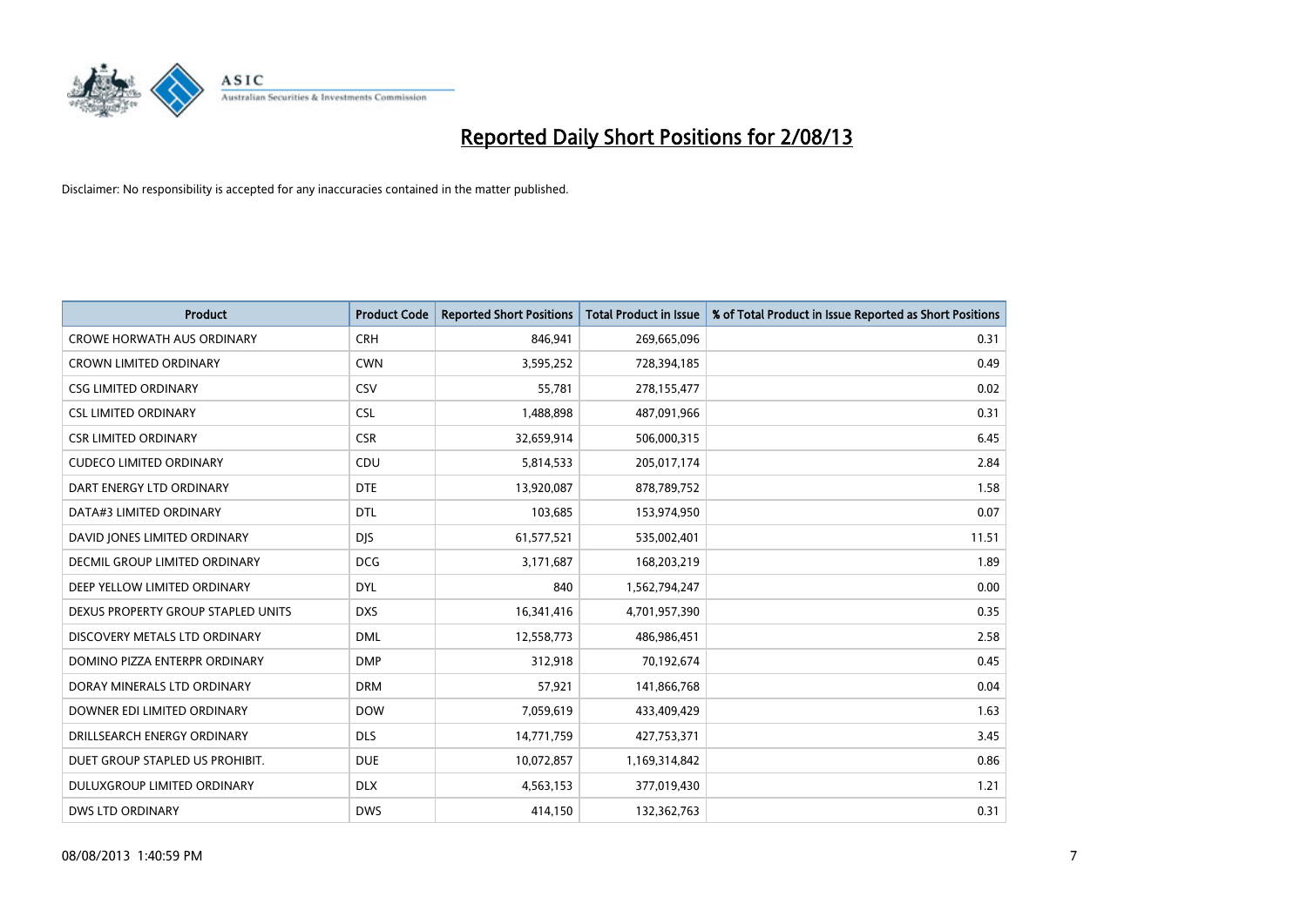

| <b>Product</b>                       | <b>Product Code</b> | <b>Reported Short Positions</b> | <b>Total Product in Issue</b> | % of Total Product in Issue Reported as Short Positions |
|--------------------------------------|---------------------|---------------------------------|-------------------------------|---------------------------------------------------------|
| <b>CROWE HORWATH AUS ORDINARY</b>    | <b>CRH</b>          | 846,941                         | 269,665,096                   | 0.31                                                    |
| CROWN LIMITED ORDINARY               | <b>CWN</b>          | 3,595,252                       | 728,394,185                   | 0.49                                                    |
| <b>CSG LIMITED ORDINARY</b>          | CSV                 | 55,781                          | 278,155,477                   | 0.02                                                    |
| <b>CSL LIMITED ORDINARY</b>          | <b>CSL</b>          | 1,488,898                       | 487,091,966                   | 0.31                                                    |
| <b>CSR LIMITED ORDINARY</b>          | <b>CSR</b>          | 32,659,914                      | 506,000,315                   | 6.45                                                    |
| <b>CUDECO LIMITED ORDINARY</b>       | CDU                 | 5,814,533                       | 205,017,174                   | 2.84                                                    |
| DART ENERGY LTD ORDINARY             | <b>DTE</b>          | 13,920,087                      | 878,789,752                   | 1.58                                                    |
| DATA#3 LIMITED ORDINARY              | <b>DTL</b>          | 103,685                         | 153,974,950                   | 0.07                                                    |
| DAVID JONES LIMITED ORDINARY         | <b>DJS</b>          | 61,577,521                      | 535,002,401                   | 11.51                                                   |
| <b>DECMIL GROUP LIMITED ORDINARY</b> | <b>DCG</b>          | 3,171,687                       | 168,203,219                   | 1.89                                                    |
| DEEP YELLOW LIMITED ORDINARY         | <b>DYL</b>          | 840                             | 1,562,794,247                 | 0.00                                                    |
| DEXUS PROPERTY GROUP STAPLED UNITS   | <b>DXS</b>          | 16,341,416                      | 4,701,957,390                 | 0.35                                                    |
| DISCOVERY METALS LTD ORDINARY        | <b>DML</b>          | 12,558,773                      | 486,986,451                   | 2.58                                                    |
| DOMINO PIZZA ENTERPR ORDINARY        | <b>DMP</b>          | 312,918                         | 70,192,674                    | 0.45                                                    |
| DORAY MINERALS LTD ORDINARY          | <b>DRM</b>          | 57,921                          | 141,866,768                   | 0.04                                                    |
| DOWNER EDI LIMITED ORDINARY          | <b>DOW</b>          | 7,059,619                       | 433,409,429                   | 1.63                                                    |
| DRILLSEARCH ENERGY ORDINARY          | <b>DLS</b>          | 14,771,759                      | 427,753,371                   | 3.45                                                    |
| DUET GROUP STAPLED US PROHIBIT.      | <b>DUE</b>          | 10,072,857                      | 1,169,314,842                 | 0.86                                                    |
| DULUXGROUP LIMITED ORDINARY          | <b>DLX</b>          | 4,563,153                       | 377,019,430                   | 1.21                                                    |
| DWS LTD ORDINARY                     | <b>DWS</b>          | 414,150                         | 132,362,763                   | 0.31                                                    |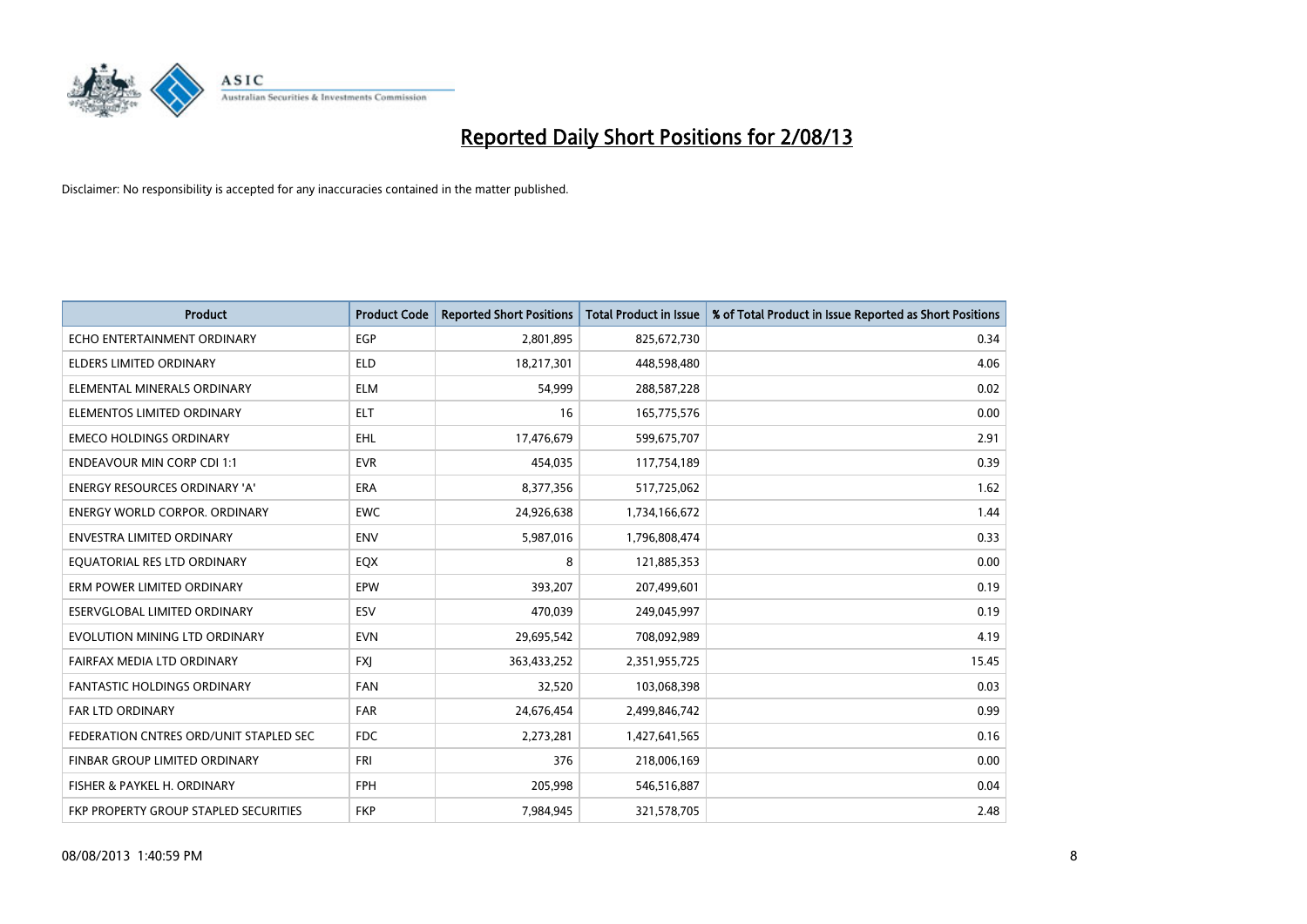

| <b>Product</b>                         | <b>Product Code</b> | <b>Reported Short Positions</b> | <b>Total Product in Issue</b> | % of Total Product in Issue Reported as Short Positions |
|----------------------------------------|---------------------|---------------------------------|-------------------------------|---------------------------------------------------------|
| ECHO ENTERTAINMENT ORDINARY            | <b>EGP</b>          | 2,801,895                       | 825,672,730                   | 0.34                                                    |
| ELDERS LIMITED ORDINARY                | ELD                 | 18,217,301                      | 448,598,480                   | 4.06                                                    |
| ELEMENTAL MINERALS ORDINARY            | <b>ELM</b>          | 54,999                          | 288,587,228                   | 0.02                                                    |
| ELEMENTOS LIMITED ORDINARY             | <b>ELT</b>          | 16                              | 165,775,576                   | 0.00                                                    |
| <b>EMECO HOLDINGS ORDINARY</b>         | EHL                 | 17,476,679                      | 599,675,707                   | 2.91                                                    |
| <b>ENDEAVOUR MIN CORP CDI 1:1</b>      | <b>EVR</b>          | 454,035                         | 117,754,189                   | 0.39                                                    |
| <b>ENERGY RESOURCES ORDINARY 'A'</b>   | <b>ERA</b>          | 8,377,356                       | 517,725,062                   | 1.62                                                    |
| <b>ENERGY WORLD CORPOR, ORDINARY</b>   | <b>EWC</b>          | 24,926,638                      | 1,734,166,672                 | 1.44                                                    |
| <b>ENVESTRA LIMITED ORDINARY</b>       | <b>ENV</b>          | 5,987,016                       | 1,796,808,474                 | 0.33                                                    |
| EQUATORIAL RES LTD ORDINARY            | EQX                 | 8                               | 121,885,353                   | 0.00                                                    |
| ERM POWER LIMITED ORDINARY             | EPW                 | 393,207                         | 207,499,601                   | 0.19                                                    |
| ESERVGLOBAL LIMITED ORDINARY           | ESV                 | 470,039                         | 249,045,997                   | 0.19                                                    |
| EVOLUTION MINING LTD ORDINARY          | <b>EVN</b>          | 29,695,542                      | 708,092,989                   | 4.19                                                    |
| FAIRFAX MEDIA LTD ORDINARY             | <b>FXI</b>          | 363,433,252                     | 2,351,955,725                 | 15.45                                                   |
| <b>FANTASTIC HOLDINGS ORDINARY</b>     | <b>FAN</b>          | 32,520                          | 103,068,398                   | 0.03                                                    |
| <b>FAR LTD ORDINARY</b>                | <b>FAR</b>          | 24,676,454                      | 2,499,846,742                 | 0.99                                                    |
| FEDERATION CNTRES ORD/UNIT STAPLED SEC | <b>FDC</b>          | 2,273,281                       | 1,427,641,565                 | 0.16                                                    |
| FINBAR GROUP LIMITED ORDINARY          | <b>FRI</b>          | 376                             | 218,006,169                   | 0.00                                                    |
| FISHER & PAYKEL H. ORDINARY            | <b>FPH</b>          | 205,998                         | 546,516,887                   | 0.04                                                    |
| FKP PROPERTY GROUP STAPLED SECURITIES  | <b>FKP</b>          | 7,984,945                       | 321,578,705                   | 2.48                                                    |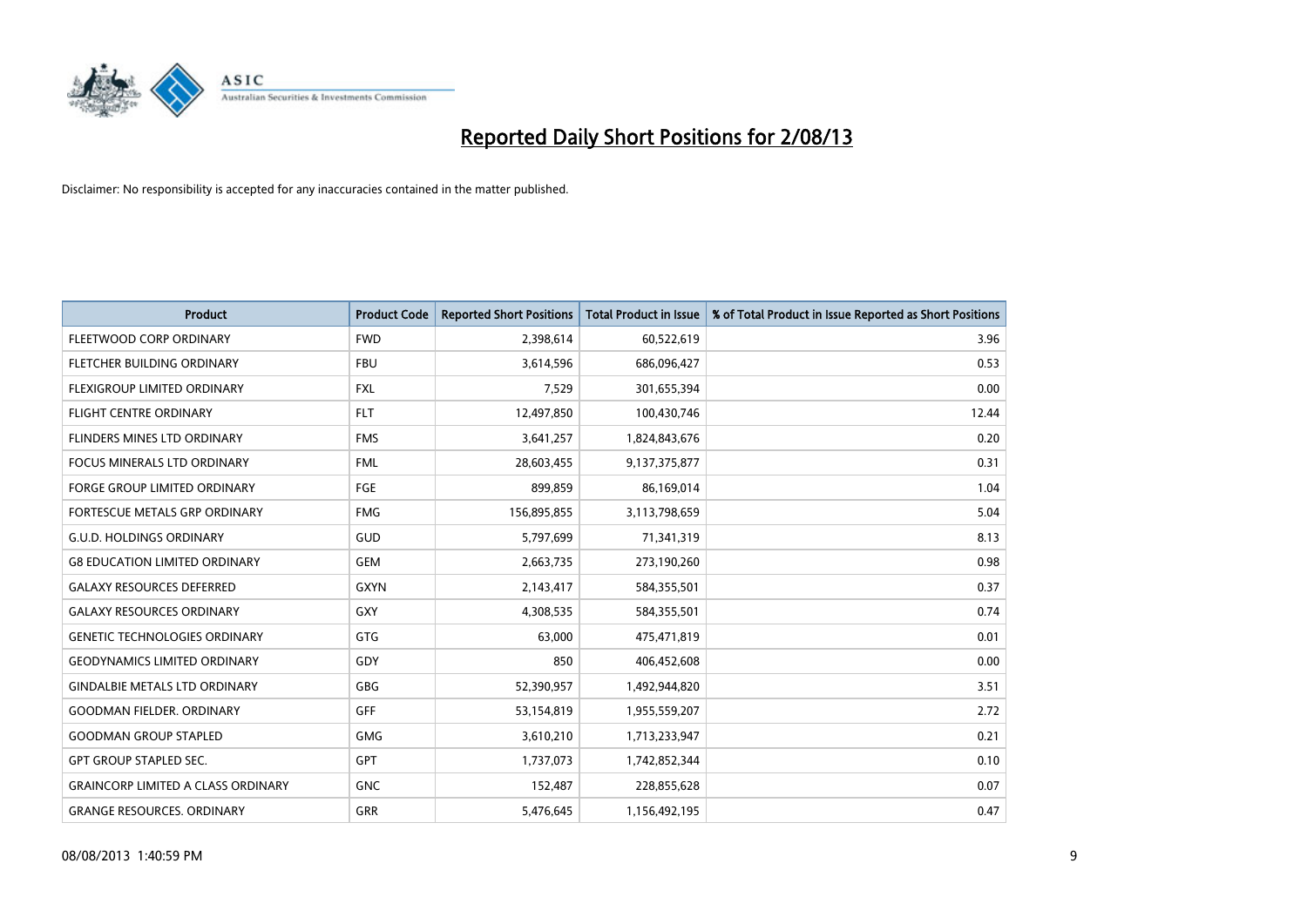

| <b>Product</b>                            | <b>Product Code</b> | <b>Reported Short Positions</b> | <b>Total Product in Issue</b> | % of Total Product in Issue Reported as Short Positions |
|-------------------------------------------|---------------------|---------------------------------|-------------------------------|---------------------------------------------------------|
| FLEETWOOD CORP ORDINARY                   | <b>FWD</b>          | 2,398,614                       | 60,522,619                    | 3.96                                                    |
| FLETCHER BUILDING ORDINARY                | <b>FBU</b>          | 3,614,596                       | 686,096,427                   | 0.53                                                    |
| FLEXIGROUP LIMITED ORDINARY               | <b>FXL</b>          | 7,529                           | 301,655,394                   | 0.00                                                    |
| <b>FLIGHT CENTRE ORDINARY</b>             | <b>FLT</b>          | 12,497,850                      | 100,430,746                   | 12.44                                                   |
| FLINDERS MINES LTD ORDINARY               | <b>FMS</b>          | 3,641,257                       | 1,824,843,676                 | 0.20                                                    |
| <b>FOCUS MINERALS LTD ORDINARY</b>        | <b>FML</b>          | 28,603,455                      | 9,137,375,877                 | 0.31                                                    |
| <b>FORGE GROUP LIMITED ORDINARY</b>       | <b>FGE</b>          | 899,859                         | 86,169,014                    | 1.04                                                    |
| FORTESCUE METALS GRP ORDINARY             | <b>FMG</b>          | 156,895,855                     | 3,113,798,659                 | 5.04                                                    |
| <b>G.U.D. HOLDINGS ORDINARY</b>           | GUD                 | 5,797,699                       | 71,341,319                    | 8.13                                                    |
| <b>G8 EDUCATION LIMITED ORDINARY</b>      | <b>GEM</b>          | 2,663,735                       | 273,190,260                   | 0.98                                                    |
| <b>GALAXY RESOURCES DEFERRED</b>          | <b>GXYN</b>         | 2,143,417                       | 584,355,501                   | 0.37                                                    |
| <b>GALAXY RESOURCES ORDINARY</b>          | GXY                 | 4,308,535                       | 584,355,501                   | 0.74                                                    |
| <b>GENETIC TECHNOLOGIES ORDINARY</b>      | GTG                 | 63,000                          | 475,471,819                   | 0.01                                                    |
| <b>GEODYNAMICS LIMITED ORDINARY</b>       | GDY                 | 850                             | 406,452,608                   | 0.00                                                    |
| <b>GINDALBIE METALS LTD ORDINARY</b>      | GBG                 | 52,390,957                      | 1,492,944,820                 | 3.51                                                    |
| <b>GOODMAN FIELDER. ORDINARY</b>          | <b>GFF</b>          | 53,154,819                      | 1,955,559,207                 | 2.72                                                    |
| <b>GOODMAN GROUP STAPLED</b>              | GMG                 | 3,610,210                       | 1,713,233,947                 | 0.21                                                    |
| <b>GPT GROUP STAPLED SEC.</b>             | <b>GPT</b>          | 1,737,073                       | 1,742,852,344                 | 0.10                                                    |
| <b>GRAINCORP LIMITED A CLASS ORDINARY</b> | <b>GNC</b>          | 152,487                         | 228,855,628                   | 0.07                                                    |
| <b>GRANGE RESOURCES. ORDINARY</b>         | GRR                 | 5,476,645                       | 1,156,492,195                 | 0.47                                                    |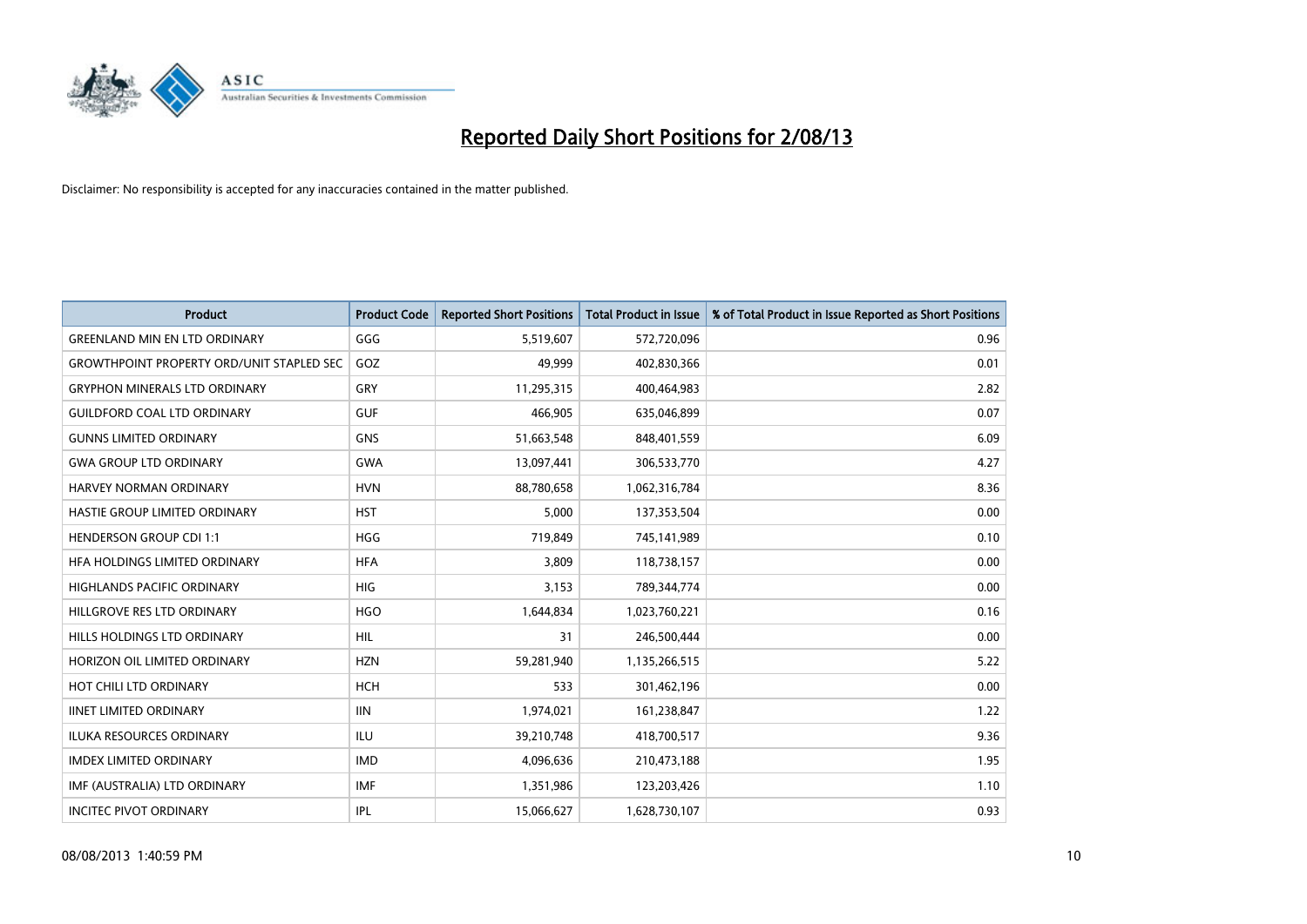

| <b>Product</b>                                   | <b>Product Code</b> | <b>Reported Short Positions</b> | <b>Total Product in Issue</b> | % of Total Product in Issue Reported as Short Positions |
|--------------------------------------------------|---------------------|---------------------------------|-------------------------------|---------------------------------------------------------|
| <b>GREENLAND MIN EN LTD ORDINARY</b>             | GGG                 | 5,519,607                       | 572,720,096                   | 0.96                                                    |
| <b>GROWTHPOINT PROPERTY ORD/UNIT STAPLED SEC</b> | GOZ                 | 49,999                          | 402,830,366                   | 0.01                                                    |
| <b>GRYPHON MINERALS LTD ORDINARY</b>             | GRY                 | 11,295,315                      | 400,464,983                   | 2.82                                                    |
| <b>GUILDFORD COAL LTD ORDINARY</b>               | <b>GUF</b>          | 466,905                         | 635,046,899                   | 0.07                                                    |
| <b>GUNNS LIMITED ORDINARY</b>                    | <b>GNS</b>          | 51,663,548                      | 848,401,559                   | 6.09                                                    |
| <b>GWA GROUP LTD ORDINARY</b>                    | <b>GWA</b>          | 13,097,441                      | 306,533,770                   | 4.27                                                    |
| <b>HARVEY NORMAN ORDINARY</b>                    | <b>HVN</b>          | 88,780,658                      | 1,062,316,784                 | 8.36                                                    |
| HASTIE GROUP LIMITED ORDINARY                    | <b>HST</b>          | 5,000                           | 137,353,504                   | 0.00                                                    |
| <b>HENDERSON GROUP CDI 1:1</b>                   | <b>HGG</b>          | 719,849                         | 745,141,989                   | 0.10                                                    |
| HEA HOLDINGS LIMITED ORDINARY                    | <b>HFA</b>          | 3,809                           | 118,738,157                   | 0.00                                                    |
| <b>HIGHLANDS PACIFIC ORDINARY</b>                | <b>HIG</b>          | 3,153                           | 789,344,774                   | 0.00                                                    |
| HILLGROVE RES LTD ORDINARY                       | <b>HGO</b>          | 1,644,834                       | 1,023,760,221                 | 0.16                                                    |
| HILLS HOLDINGS LTD ORDINARY                      | <b>HIL</b>          | 31                              | 246,500,444                   | 0.00                                                    |
| HORIZON OIL LIMITED ORDINARY                     | <b>HZN</b>          | 59,281,940                      | 1,135,266,515                 | 5.22                                                    |
| HOT CHILI LTD ORDINARY                           | <b>HCH</b>          | 533                             | 301,462,196                   | 0.00                                                    |
| <b>IINET LIMITED ORDINARY</b>                    | <b>IIN</b>          | 1,974,021                       | 161,238,847                   | 1.22                                                    |
| <b>ILUKA RESOURCES ORDINARY</b>                  | <b>ILU</b>          | 39,210,748                      | 418,700,517                   | 9.36                                                    |
| <b>IMDEX LIMITED ORDINARY</b>                    | <b>IMD</b>          | 4,096,636                       | 210,473,188                   | 1.95                                                    |
| IMF (AUSTRALIA) LTD ORDINARY                     | <b>IMF</b>          | 1,351,986                       | 123,203,426                   | 1.10                                                    |
| <b>INCITEC PIVOT ORDINARY</b>                    | IPL                 | 15,066,627                      | 1,628,730,107                 | 0.93                                                    |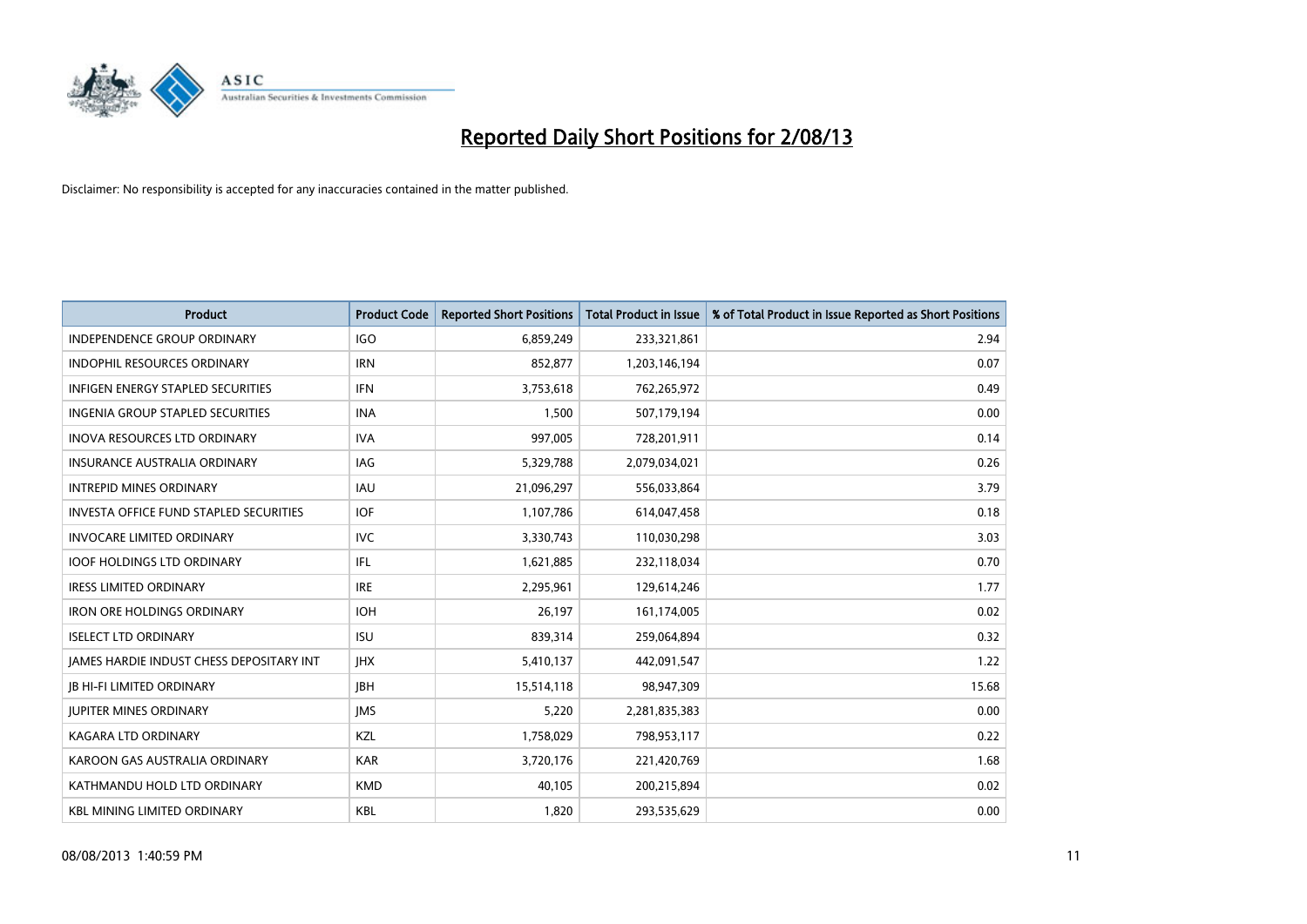

| <b>Product</b>                           | <b>Product Code</b> | <b>Reported Short Positions</b> | <b>Total Product in Issue</b> | % of Total Product in Issue Reported as Short Positions |
|------------------------------------------|---------------------|---------------------------------|-------------------------------|---------------------------------------------------------|
| <b>INDEPENDENCE GROUP ORDINARY</b>       | <b>IGO</b>          | 6,859,249                       | 233,321,861                   | 2.94                                                    |
| INDOPHIL RESOURCES ORDINARY              | <b>IRN</b>          | 852,877                         | 1,203,146,194                 | 0.07                                                    |
| <b>INFIGEN ENERGY STAPLED SECURITIES</b> | <b>IFN</b>          | 3,753,618                       | 762,265,972                   | 0.49                                                    |
| INGENIA GROUP STAPLED SECURITIES         | <b>INA</b>          | 1,500                           | 507,179,194                   | 0.00                                                    |
| <b>INOVA RESOURCES LTD ORDINARY</b>      | <b>IVA</b>          | 997,005                         | 728,201,911                   | 0.14                                                    |
| <b>INSURANCE AUSTRALIA ORDINARY</b>      | <b>IAG</b>          | 5,329,788                       | 2,079,034,021                 | 0.26                                                    |
| <b>INTREPID MINES ORDINARY</b>           | <b>IAU</b>          | 21,096,297                      | 556,033,864                   | 3.79                                                    |
| INVESTA OFFICE FUND STAPLED SECURITIES   | <b>IOF</b>          | 1,107,786                       | 614,047,458                   | 0.18                                                    |
| <b>INVOCARE LIMITED ORDINARY</b>         | <b>IVC</b>          | 3,330,743                       | 110,030,298                   | 3.03                                                    |
| <b>IOOF HOLDINGS LTD ORDINARY</b>        | IFL                 | 1,621,885                       | 232,118,034                   | 0.70                                                    |
| <b>IRESS LIMITED ORDINARY</b>            | <b>IRE</b>          | 2,295,961                       | 129,614,246                   | 1.77                                                    |
| <b>IRON ORE HOLDINGS ORDINARY</b>        | <b>IOH</b>          | 26,197                          | 161,174,005                   | 0.02                                                    |
| <b>ISELECT LTD ORDINARY</b>              | <b>ISU</b>          | 839,314                         | 259,064,894                   | 0.32                                                    |
| JAMES HARDIE INDUST CHESS DEPOSITARY INT | <b>IHX</b>          | 5,410,137                       | 442,091,547                   | 1.22                                                    |
| <b>JB HI-FI LIMITED ORDINARY</b>         | <b>IBH</b>          | 15,514,118                      | 98,947,309                    | 15.68                                                   |
| <b>JUPITER MINES ORDINARY</b>            | <b>IMS</b>          | 5,220                           | 2,281,835,383                 | 0.00                                                    |
| KAGARA LTD ORDINARY                      | KZL                 | 1,758,029                       | 798,953,117                   | 0.22                                                    |
| KAROON GAS AUSTRALIA ORDINARY            | <b>KAR</b>          | 3,720,176                       | 221,420,769                   | 1.68                                                    |
| KATHMANDU HOLD LTD ORDINARY              | <b>KMD</b>          | 40,105                          | 200,215,894                   | 0.02                                                    |
| <b>KBL MINING LIMITED ORDINARY</b>       | <b>KBL</b>          | 1,820                           | 293,535,629                   | 0.00                                                    |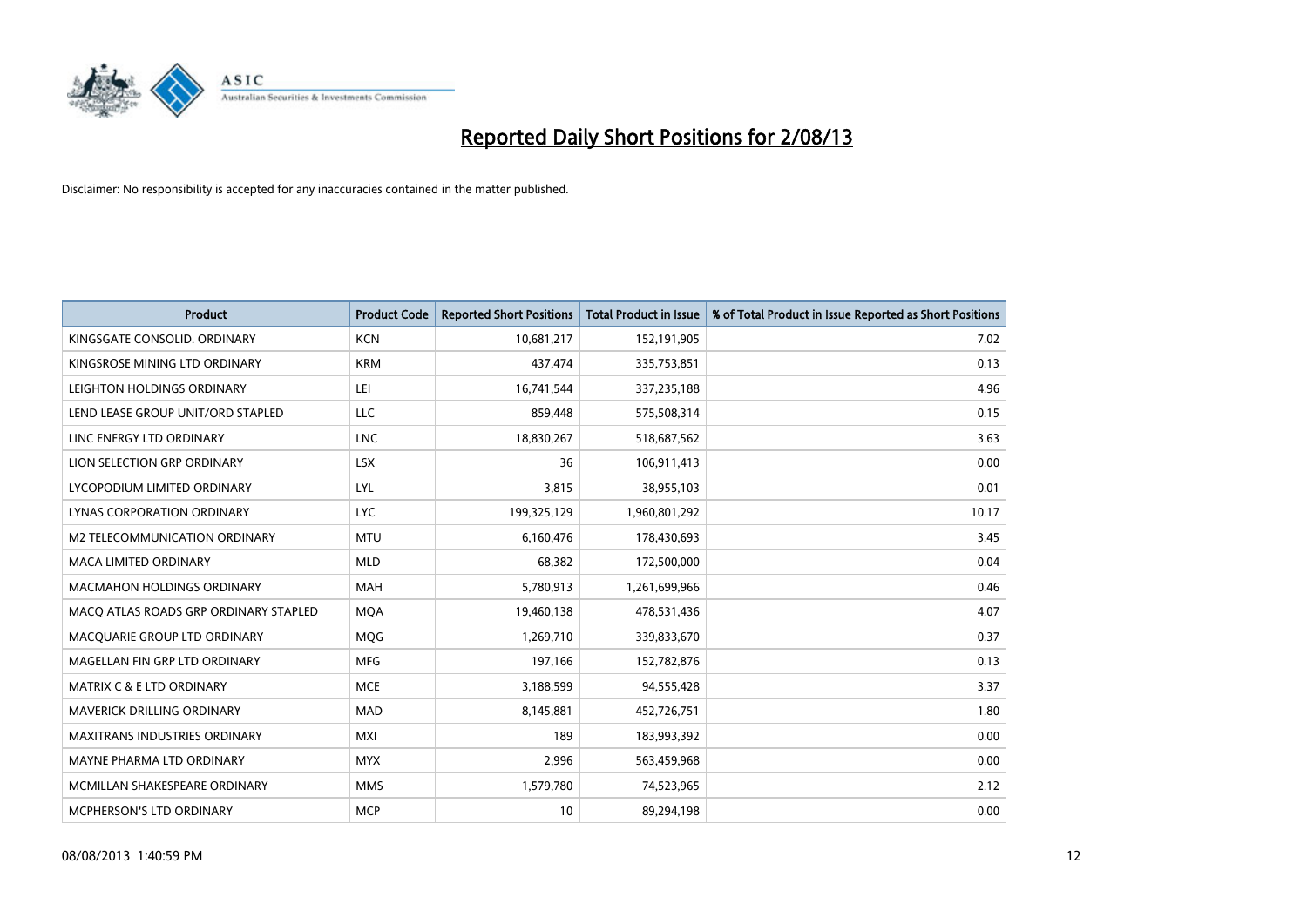

| <b>Product</b>                        | <b>Product Code</b> | <b>Reported Short Positions</b> | <b>Total Product in Issue</b> | % of Total Product in Issue Reported as Short Positions |
|---------------------------------------|---------------------|---------------------------------|-------------------------------|---------------------------------------------------------|
| KINGSGATE CONSOLID. ORDINARY          | <b>KCN</b>          | 10,681,217                      | 152,191,905                   | 7.02                                                    |
| KINGSROSE MINING LTD ORDINARY         | <b>KRM</b>          | 437,474                         | 335,753,851                   | 0.13                                                    |
| LEIGHTON HOLDINGS ORDINARY            | LEI                 | 16,741,544                      | 337,235,188                   | 4.96                                                    |
| LEND LEASE GROUP UNIT/ORD STAPLED     | <b>LLC</b>          | 859,448                         | 575,508,314                   | 0.15                                                    |
| LINC ENERGY LTD ORDINARY              | <b>LNC</b>          | 18,830,267                      | 518,687,562                   | 3.63                                                    |
| LION SELECTION GRP ORDINARY           | <b>LSX</b>          | 36                              | 106,911,413                   | 0.00                                                    |
| LYCOPODIUM LIMITED ORDINARY           | LYL                 | 3,815                           | 38,955,103                    | 0.01                                                    |
| LYNAS CORPORATION ORDINARY            | <b>LYC</b>          | 199,325,129                     | 1,960,801,292                 | 10.17                                                   |
| <b>M2 TELECOMMUNICATION ORDINARY</b>  | <b>MTU</b>          | 6,160,476                       | 178,430,693                   | 3.45                                                    |
| <b>MACA LIMITED ORDINARY</b>          | <b>MLD</b>          | 68,382                          | 172,500,000                   | 0.04                                                    |
| <b>MACMAHON HOLDINGS ORDINARY</b>     | <b>MAH</b>          | 5,780,913                       | 1,261,699,966                 | 0.46                                                    |
| MACO ATLAS ROADS GRP ORDINARY STAPLED | <b>MQA</b>          | 19,460,138                      | 478,531,436                   | 4.07                                                    |
| MACQUARIE GROUP LTD ORDINARY          | MQG                 | 1,269,710                       | 339,833,670                   | 0.37                                                    |
| MAGELLAN FIN GRP LTD ORDINARY         | <b>MFG</b>          | 197,166                         | 152,782,876                   | 0.13                                                    |
| <b>MATRIX C &amp; E LTD ORDINARY</b>  | <b>MCE</b>          | 3,188,599                       | 94,555,428                    | 3.37                                                    |
| MAVERICK DRILLING ORDINARY            | MAD                 | 8,145,881                       | 452,726,751                   | 1.80                                                    |
| MAXITRANS INDUSTRIES ORDINARY         | <b>MXI</b>          | 189                             | 183,993,392                   | 0.00                                                    |
| MAYNE PHARMA LTD ORDINARY             | <b>MYX</b>          | 2,996                           | 563,459,968                   | 0.00                                                    |
| MCMILLAN SHAKESPEARE ORDINARY         | <b>MMS</b>          | 1,579,780                       | 74,523,965                    | 2.12                                                    |
| MCPHERSON'S LTD ORDINARY              | <b>MCP</b>          | 10                              | 89,294,198                    | 0.00                                                    |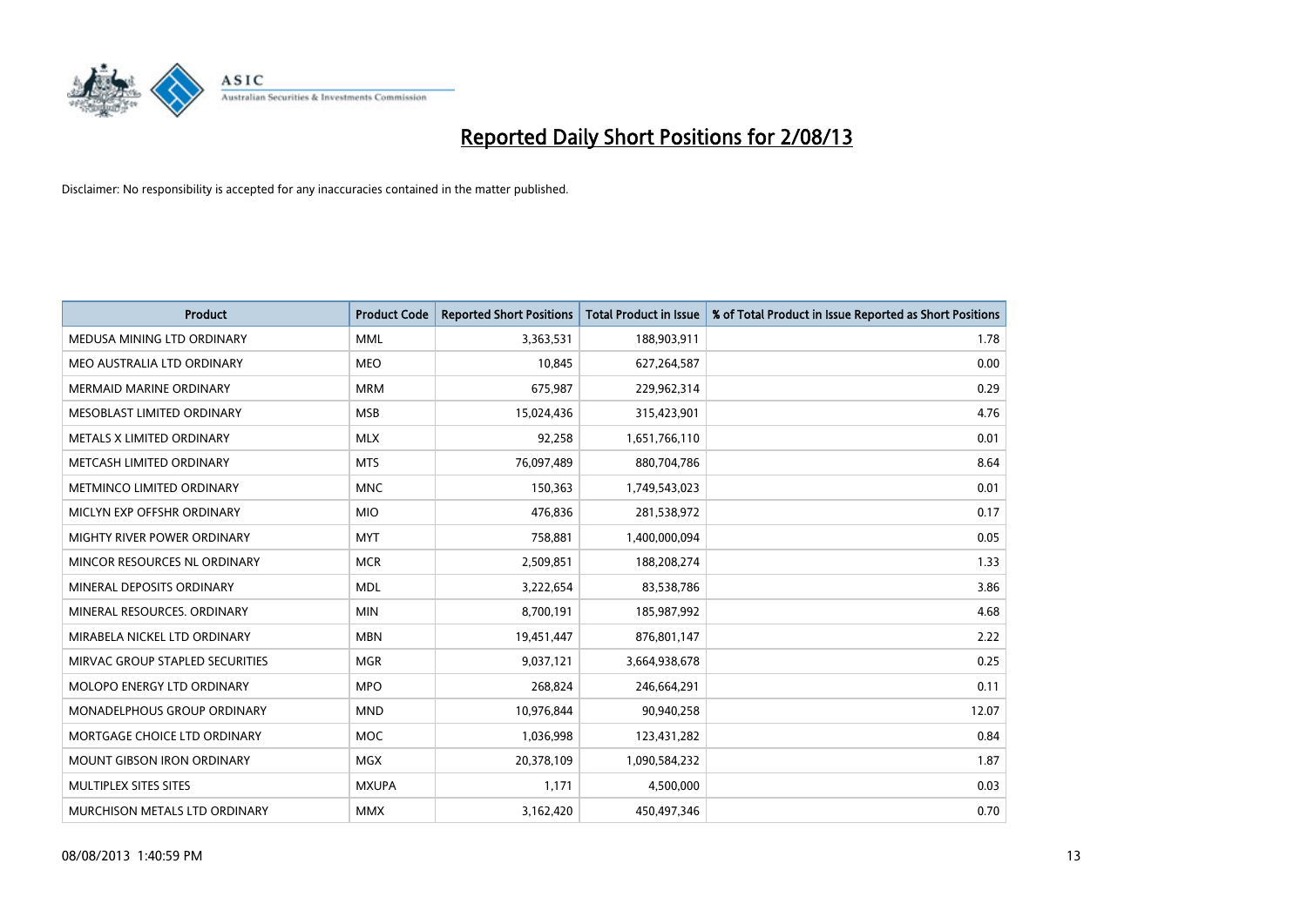

| <b>Product</b>                    | <b>Product Code</b> | <b>Reported Short Positions</b> | <b>Total Product in Issue</b> | % of Total Product in Issue Reported as Short Positions |
|-----------------------------------|---------------------|---------------------------------|-------------------------------|---------------------------------------------------------|
| MEDUSA MINING LTD ORDINARY        | <b>MML</b>          | 3,363,531                       | 188,903,911                   | 1.78                                                    |
| MEO AUSTRALIA LTD ORDINARY        | <b>MEO</b>          | 10,845                          | 627,264,587                   | 0.00                                                    |
| <b>MERMAID MARINE ORDINARY</b>    | <b>MRM</b>          | 675,987                         | 229,962,314                   | 0.29                                                    |
| MESOBLAST LIMITED ORDINARY        | <b>MSB</b>          | 15,024,436                      | 315,423,901                   | 4.76                                                    |
| METALS X LIMITED ORDINARY         | <b>MLX</b>          | 92,258                          | 1,651,766,110                 | 0.01                                                    |
| METCASH LIMITED ORDINARY          | <b>MTS</b>          | 76,097,489                      | 880,704,786                   | 8.64                                                    |
| METMINCO LIMITED ORDINARY         | <b>MNC</b>          | 150,363                         | 1,749,543,023                 | 0.01                                                    |
| MICLYN EXP OFFSHR ORDINARY        | <b>MIO</b>          | 476,836                         | 281,538,972                   | 0.17                                                    |
| MIGHTY RIVER POWER ORDINARY       | <b>MYT</b>          | 758,881                         | 1,400,000,094                 | 0.05                                                    |
| MINCOR RESOURCES NL ORDINARY      | <b>MCR</b>          | 2,509,851                       | 188,208,274                   | 1.33                                                    |
| MINERAL DEPOSITS ORDINARY         | <b>MDL</b>          | 3,222,654                       | 83,538,786                    | 3.86                                                    |
| MINERAL RESOURCES, ORDINARY       | <b>MIN</b>          | 8,700,191                       | 185,987,992                   | 4.68                                                    |
| MIRABELA NICKEL LTD ORDINARY      | <b>MBN</b>          | 19,451,447                      | 876,801,147                   | 2.22                                                    |
| MIRVAC GROUP STAPLED SECURITIES   | <b>MGR</b>          | 9,037,121                       | 3,664,938,678                 | 0.25                                                    |
| MOLOPO ENERGY LTD ORDINARY        | <b>MPO</b>          | 268,824                         | 246,664,291                   | 0.11                                                    |
| MONADELPHOUS GROUP ORDINARY       | <b>MND</b>          | 10,976,844                      | 90,940,258                    | 12.07                                                   |
| MORTGAGE CHOICE LTD ORDINARY      | <b>MOC</b>          | 1,036,998                       | 123,431,282                   | 0.84                                                    |
| <b>MOUNT GIBSON IRON ORDINARY</b> | <b>MGX</b>          | 20,378,109                      | 1,090,584,232                 | 1.87                                                    |
| MULTIPLEX SITES SITES             | <b>MXUPA</b>        | 1,171                           | 4,500,000                     | 0.03                                                    |
| MURCHISON METALS LTD ORDINARY     | <b>MMX</b>          | 3,162,420                       | 450,497,346                   | 0.70                                                    |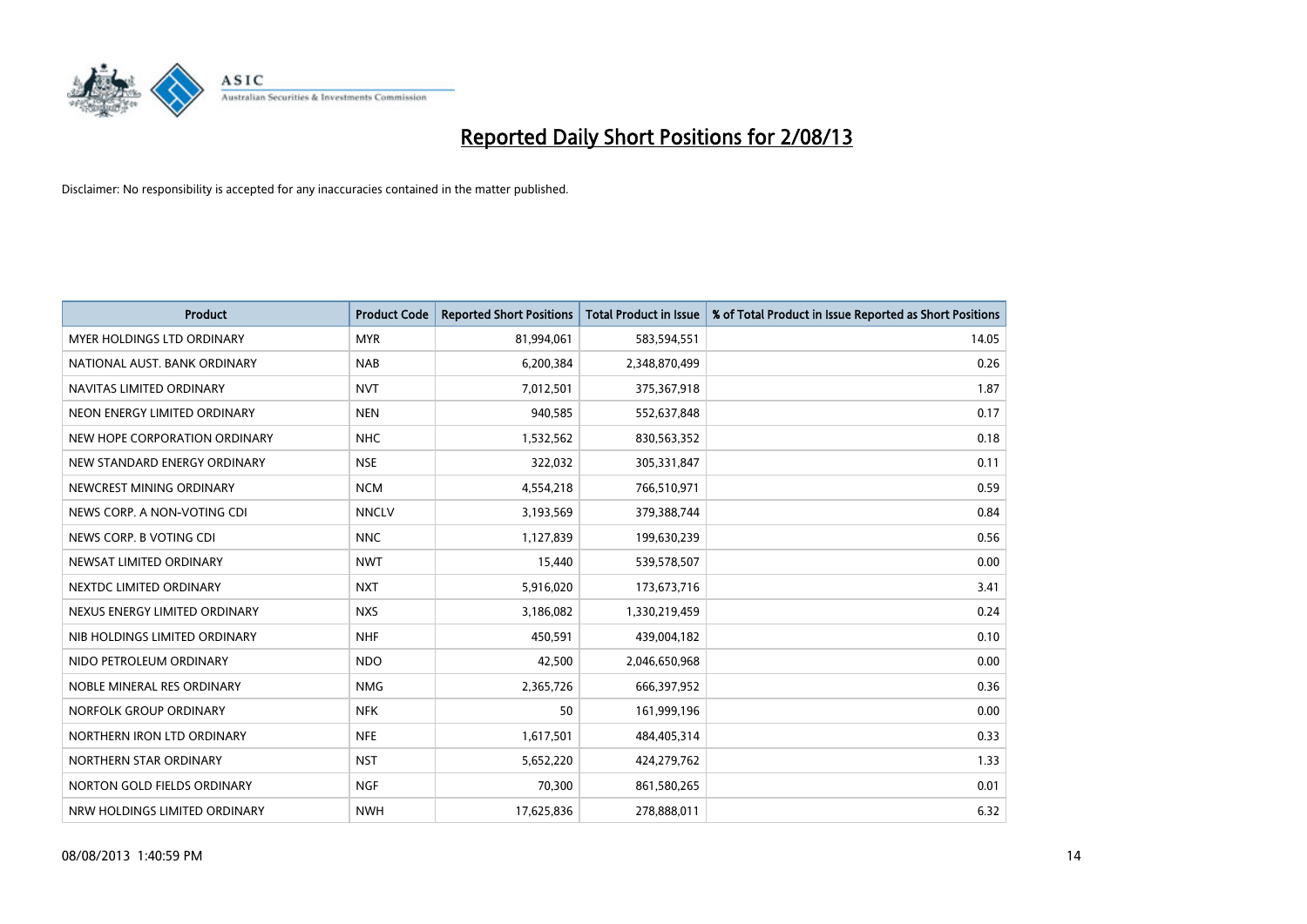

| <b>Product</b>                | <b>Product Code</b> | <b>Reported Short Positions</b> | <b>Total Product in Issue</b> | % of Total Product in Issue Reported as Short Positions |
|-------------------------------|---------------------|---------------------------------|-------------------------------|---------------------------------------------------------|
| MYER HOLDINGS LTD ORDINARY    | <b>MYR</b>          | 81,994,061                      | 583,594,551                   | 14.05                                                   |
| NATIONAL AUST. BANK ORDINARY  | <b>NAB</b>          | 6,200,384                       | 2,348,870,499                 | 0.26                                                    |
| NAVITAS LIMITED ORDINARY      | <b>NVT</b>          | 7,012,501                       | 375,367,918                   | 1.87                                                    |
| NEON ENERGY LIMITED ORDINARY  | <b>NEN</b>          | 940,585                         | 552,637,848                   | 0.17                                                    |
| NEW HOPE CORPORATION ORDINARY | <b>NHC</b>          | 1,532,562                       | 830,563,352                   | 0.18                                                    |
| NEW STANDARD ENERGY ORDINARY  | <b>NSE</b>          | 322,032                         | 305,331,847                   | 0.11                                                    |
| NEWCREST MINING ORDINARY      | <b>NCM</b>          | 4,554,218                       | 766,510,971                   | 0.59                                                    |
| NEWS CORP. A NON-VOTING CDI   | <b>NNCLV</b>        | 3,193,569                       | 379,388,744                   | 0.84                                                    |
| NEWS CORP. B VOTING CDI       | <b>NNC</b>          | 1,127,839                       | 199,630,239                   | 0.56                                                    |
| NEWSAT LIMITED ORDINARY       | <b>NWT</b>          | 15,440                          | 539,578,507                   | 0.00                                                    |
| NEXTDC LIMITED ORDINARY       | <b>NXT</b>          | 5,916,020                       | 173,673,716                   | 3.41                                                    |
| NEXUS ENERGY LIMITED ORDINARY | <b>NXS</b>          | 3,186,082                       | 1,330,219,459                 | 0.24                                                    |
| NIB HOLDINGS LIMITED ORDINARY | <b>NHF</b>          | 450,591                         | 439,004,182                   | 0.10                                                    |
| NIDO PETROLEUM ORDINARY       | <b>NDO</b>          | 42,500                          | 2,046,650,968                 | 0.00                                                    |
| NOBLE MINERAL RES ORDINARY    | <b>NMG</b>          | 2,365,726                       | 666,397,952                   | 0.36                                                    |
| NORFOLK GROUP ORDINARY        | <b>NFK</b>          | 50                              | 161,999,196                   | 0.00                                                    |
| NORTHERN IRON LTD ORDINARY    | <b>NFE</b>          | 1,617,501                       | 484,405,314                   | 0.33                                                    |
| NORTHERN STAR ORDINARY        | <b>NST</b>          | 5,652,220                       | 424,279,762                   | 1.33                                                    |
| NORTON GOLD FIELDS ORDINARY   | <b>NGF</b>          | 70,300                          | 861,580,265                   | 0.01                                                    |
| NRW HOLDINGS LIMITED ORDINARY | <b>NWH</b>          | 17,625,836                      | 278,888,011                   | 6.32                                                    |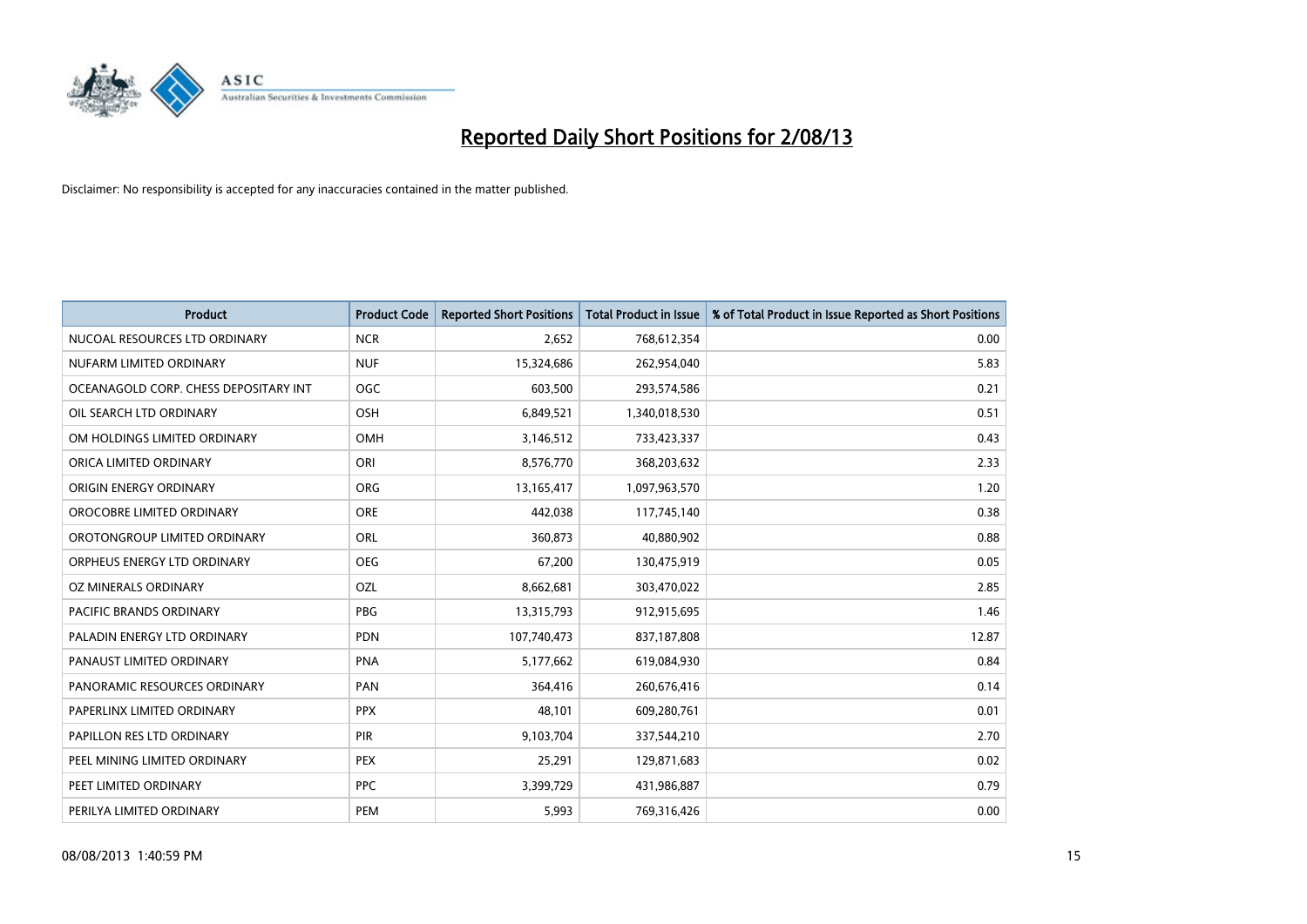

| <b>Product</b>                        | <b>Product Code</b> | <b>Reported Short Positions</b> | <b>Total Product in Issue</b> | % of Total Product in Issue Reported as Short Positions |
|---------------------------------------|---------------------|---------------------------------|-------------------------------|---------------------------------------------------------|
| NUCOAL RESOURCES LTD ORDINARY         | <b>NCR</b>          | 2,652                           | 768,612,354                   | 0.00                                                    |
| NUFARM LIMITED ORDINARY               | <b>NUF</b>          | 15,324,686                      | 262,954,040                   | 5.83                                                    |
| OCEANAGOLD CORP. CHESS DEPOSITARY INT | <b>OGC</b>          | 603,500                         | 293,574,586                   | 0.21                                                    |
| OIL SEARCH LTD ORDINARY               | OSH                 | 6,849,521                       | 1,340,018,530                 | 0.51                                                    |
| OM HOLDINGS LIMITED ORDINARY          | OMH                 | 3,146,512                       | 733,423,337                   | 0.43                                                    |
| ORICA LIMITED ORDINARY                | ORI                 | 8,576,770                       | 368,203,632                   | 2.33                                                    |
| ORIGIN ENERGY ORDINARY                | <b>ORG</b>          | 13,165,417                      | 1,097,963,570                 | 1.20                                                    |
| OROCOBRE LIMITED ORDINARY             | <b>ORE</b>          | 442,038                         | 117,745,140                   | 0.38                                                    |
| OROTONGROUP LIMITED ORDINARY          | ORL                 | 360,873                         | 40,880,902                    | 0.88                                                    |
| ORPHEUS ENERGY LTD ORDINARY           | <b>OEG</b>          | 67,200                          | 130,475,919                   | 0.05                                                    |
| OZ MINERALS ORDINARY                  | OZL                 | 8,662,681                       | 303,470,022                   | 2.85                                                    |
| PACIFIC BRANDS ORDINARY               | <b>PBG</b>          | 13,315,793                      | 912,915,695                   | 1.46                                                    |
| PALADIN ENERGY LTD ORDINARY           | <b>PDN</b>          | 107,740,473                     | 837,187,808                   | 12.87                                                   |
| PANAUST LIMITED ORDINARY              | <b>PNA</b>          | 5,177,662                       | 619,084,930                   | 0.84                                                    |
| PANORAMIC RESOURCES ORDINARY          | PAN                 | 364,416                         | 260,676,416                   | 0.14                                                    |
| PAPERLINX LIMITED ORDINARY            | <b>PPX</b>          | 48,101                          | 609,280,761                   | 0.01                                                    |
| PAPILLON RES LTD ORDINARY             | PIR                 | 9,103,704                       | 337,544,210                   | 2.70                                                    |
| PEEL MINING LIMITED ORDINARY          | <b>PEX</b>          | 25,291                          | 129,871,683                   | 0.02                                                    |
| PEET LIMITED ORDINARY                 | <b>PPC</b>          | 3,399,729                       | 431,986,887                   | 0.79                                                    |
| PERILYA LIMITED ORDINARY              | PEM                 | 5,993                           | 769,316,426                   | 0.00                                                    |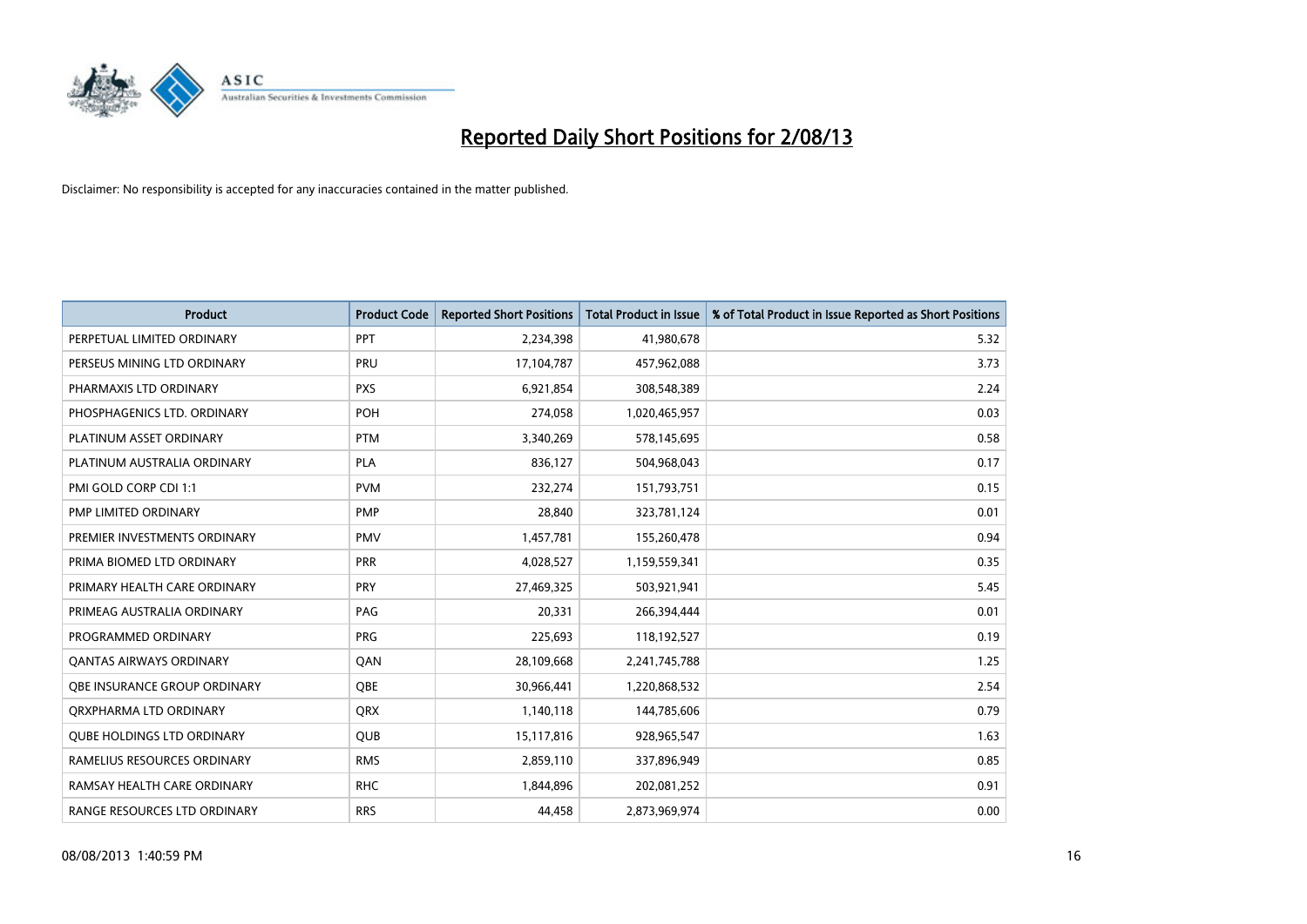

| <b>Product</b>                    | <b>Product Code</b> | <b>Reported Short Positions</b> | <b>Total Product in Issue</b> | % of Total Product in Issue Reported as Short Positions |
|-----------------------------------|---------------------|---------------------------------|-------------------------------|---------------------------------------------------------|
| PERPETUAL LIMITED ORDINARY        | PPT                 | 2,234,398                       | 41,980,678                    | 5.32                                                    |
| PERSEUS MINING LTD ORDINARY       | <b>PRU</b>          | 17,104,787                      | 457,962,088                   | 3.73                                                    |
| PHARMAXIS LTD ORDINARY            | <b>PXS</b>          | 6,921,854                       | 308,548,389                   | 2.24                                                    |
| PHOSPHAGENICS LTD. ORDINARY       | POH                 | 274,058                         | 1,020,465,957                 | 0.03                                                    |
| PLATINUM ASSET ORDINARY           | <b>PTM</b>          | 3,340,269                       | 578,145,695                   | 0.58                                                    |
| PLATINUM AUSTRALIA ORDINARY       | <b>PLA</b>          | 836,127                         | 504,968,043                   | 0.17                                                    |
| PMI GOLD CORP CDI 1:1             | <b>PVM</b>          | 232,274                         | 151,793,751                   | 0.15                                                    |
| PMP LIMITED ORDINARY              | <b>PMP</b>          | 28,840                          | 323,781,124                   | 0.01                                                    |
| PREMIER INVESTMENTS ORDINARY      | <b>PMV</b>          | 1,457,781                       | 155,260,478                   | 0.94                                                    |
| PRIMA BIOMED LTD ORDINARY         | <b>PRR</b>          | 4,028,527                       | 1,159,559,341                 | 0.35                                                    |
| PRIMARY HEALTH CARE ORDINARY      | <b>PRY</b>          | 27,469,325                      | 503,921,941                   | 5.45                                                    |
| PRIMEAG AUSTRALIA ORDINARY        | PAG                 | 20,331                          | 266,394,444                   | 0.01                                                    |
| PROGRAMMED ORDINARY               | <b>PRG</b>          | 225,693                         | 118,192,527                   | 0.19                                                    |
| <b>QANTAS AIRWAYS ORDINARY</b>    | QAN                 | 28,109,668                      | 2,241,745,788                 | 1.25                                                    |
| OBE INSURANCE GROUP ORDINARY      | <b>OBE</b>          | 30,966,441                      | 1,220,868,532                 | 2.54                                                    |
| QRXPHARMA LTD ORDINARY            | <b>QRX</b>          | 1,140,118                       | 144,785,606                   | 0.79                                                    |
| <b>QUBE HOLDINGS LTD ORDINARY</b> | <b>QUB</b>          | 15,117,816                      | 928,965,547                   | 1.63                                                    |
| RAMELIUS RESOURCES ORDINARY       | <b>RMS</b>          | 2,859,110                       | 337,896,949                   | 0.85                                                    |
| RAMSAY HEALTH CARE ORDINARY       | <b>RHC</b>          | 1,844,896                       | 202,081,252                   | 0.91                                                    |
| RANGE RESOURCES LTD ORDINARY      | <b>RRS</b>          | 44,458                          | 2,873,969,974                 | 0.00                                                    |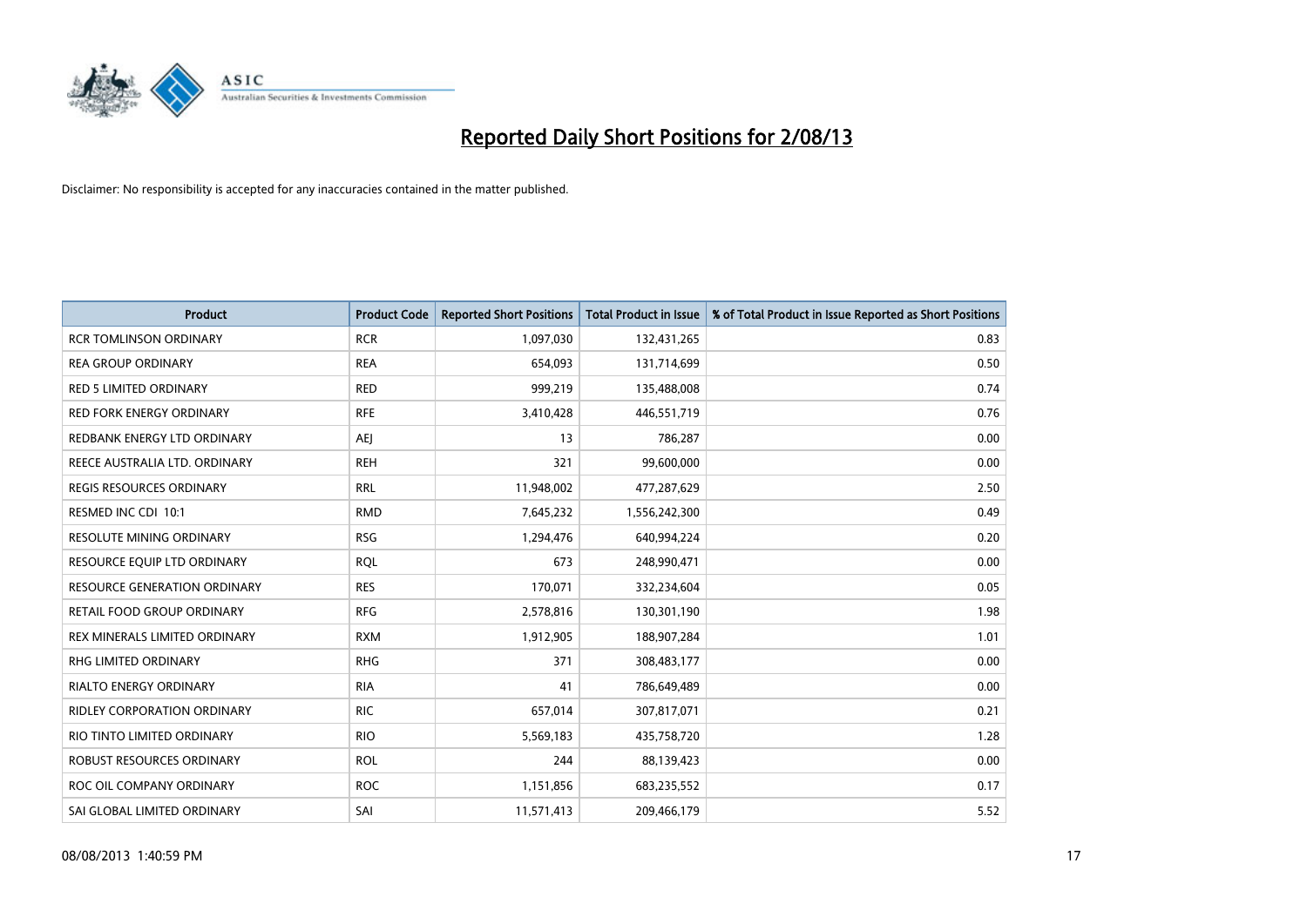

| Product                         | <b>Product Code</b> | <b>Reported Short Positions</b> | <b>Total Product in Issue</b> | % of Total Product in Issue Reported as Short Positions |
|---------------------------------|---------------------|---------------------------------|-------------------------------|---------------------------------------------------------|
| <b>RCR TOMLINSON ORDINARY</b>   | <b>RCR</b>          | 1,097,030                       | 132,431,265                   | 0.83                                                    |
| <b>REA GROUP ORDINARY</b>       | <b>REA</b>          | 654,093                         | 131,714,699                   | 0.50                                                    |
| <b>RED 5 LIMITED ORDINARY</b>   | <b>RED</b>          | 999,219                         | 135,488,008                   | 0.74                                                    |
| <b>RED FORK ENERGY ORDINARY</b> | <b>RFE</b>          | 3,410,428                       | 446,551,719                   | 0.76                                                    |
| REDBANK ENERGY LTD ORDINARY     | <b>AEI</b>          | 13                              | 786,287                       | 0.00                                                    |
| REECE AUSTRALIA LTD. ORDINARY   | <b>REH</b>          | 321                             | 99,600,000                    | 0.00                                                    |
| <b>REGIS RESOURCES ORDINARY</b> | <b>RRL</b>          | 11,948,002                      | 477,287,629                   | 2.50                                                    |
| RESMED INC CDI 10:1             | <b>RMD</b>          | 7,645,232                       | 1,556,242,300                 | 0.49                                                    |
| <b>RESOLUTE MINING ORDINARY</b> | <b>RSG</b>          | 1,294,476                       | 640,994,224                   | 0.20                                                    |
| RESOURCE EQUIP LTD ORDINARY     | <b>ROL</b>          | 673                             | 248,990,471                   | 0.00                                                    |
| RESOURCE GENERATION ORDINARY    | <b>RES</b>          | 170,071                         | 332,234,604                   | 0.05                                                    |
| RETAIL FOOD GROUP ORDINARY      | <b>RFG</b>          | 2,578,816                       | 130,301,190                   | 1.98                                                    |
| REX MINERALS LIMITED ORDINARY   | <b>RXM</b>          | 1,912,905                       | 188,907,284                   | 1.01                                                    |
| <b>RHG LIMITED ORDINARY</b>     | <b>RHG</b>          | 371                             | 308,483,177                   | 0.00                                                    |
| <b>RIALTO ENERGY ORDINARY</b>   | <b>RIA</b>          | 41                              | 786,649,489                   | 0.00                                                    |
| RIDLEY CORPORATION ORDINARY     | <b>RIC</b>          | 657,014                         | 307,817,071                   | 0.21                                                    |
| RIO TINTO LIMITED ORDINARY      | <b>RIO</b>          | 5,569,183                       | 435,758,720                   | 1.28                                                    |
| ROBUST RESOURCES ORDINARY       | <b>ROL</b>          | 244                             | 88,139,423                    | 0.00                                                    |
| ROC OIL COMPANY ORDINARY        | <b>ROC</b>          | 1,151,856                       | 683,235,552                   | 0.17                                                    |
| SAI GLOBAL LIMITED ORDINARY     | SAI                 | 11,571,413                      | 209,466,179                   | 5.52                                                    |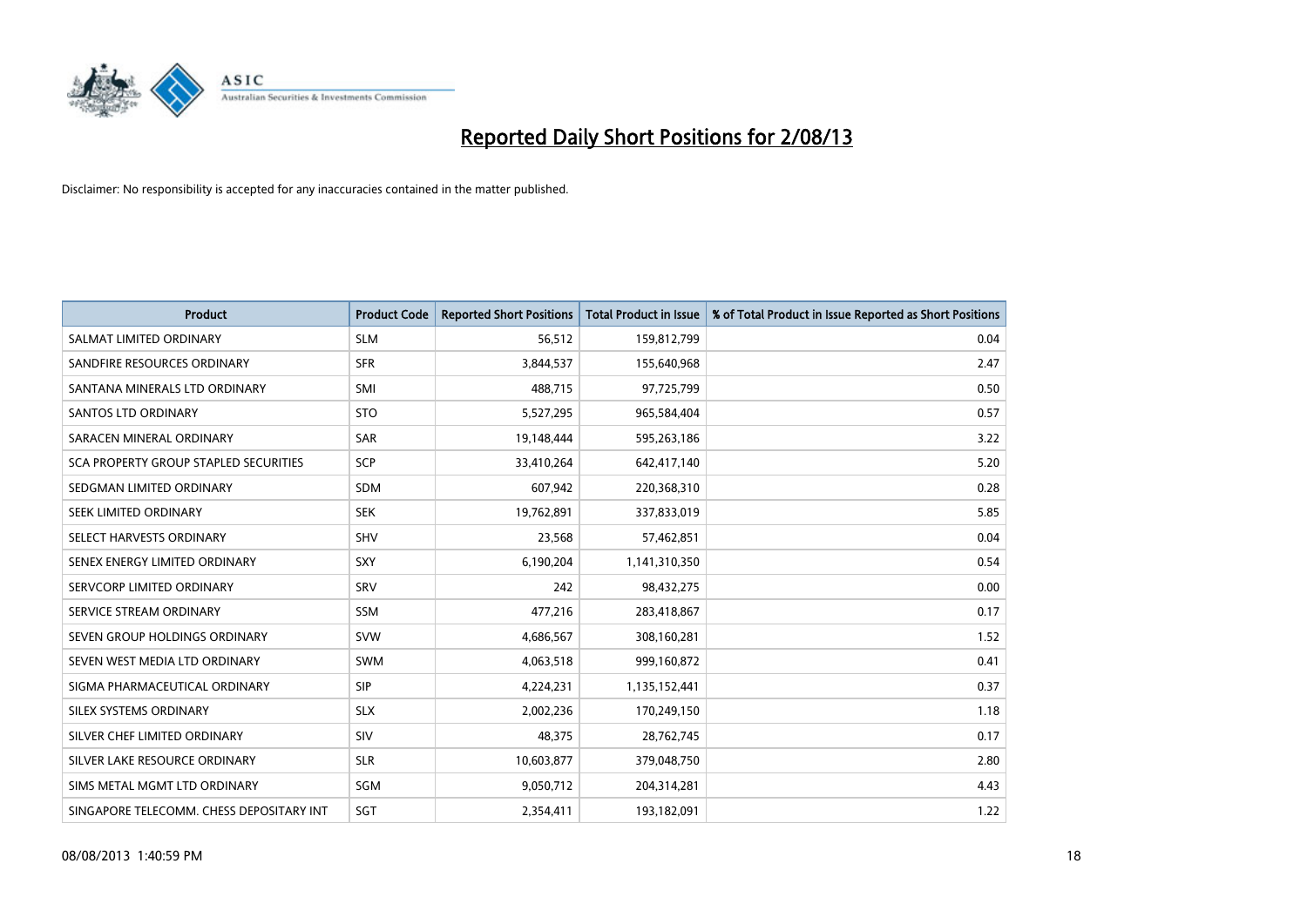

| <b>Product</b>                           | <b>Product Code</b> | <b>Reported Short Positions</b> | <b>Total Product in Issue</b> | % of Total Product in Issue Reported as Short Positions |
|------------------------------------------|---------------------|---------------------------------|-------------------------------|---------------------------------------------------------|
| SALMAT LIMITED ORDINARY                  | <b>SLM</b>          | 56,512                          | 159,812,799                   | 0.04                                                    |
| SANDFIRE RESOURCES ORDINARY              | <b>SFR</b>          | 3,844,537                       | 155,640,968                   | 2.47                                                    |
| SANTANA MINERALS LTD ORDINARY            | <b>SMI</b>          | 488,715                         | 97,725,799                    | 0.50                                                    |
| SANTOS LTD ORDINARY                      | <b>STO</b>          | 5,527,295                       | 965,584,404                   | 0.57                                                    |
| SARACEN MINERAL ORDINARY                 | <b>SAR</b>          | 19,148,444                      | 595,263,186                   | 3.22                                                    |
| SCA PROPERTY GROUP STAPLED SECURITIES    | SCP                 | 33,410,264                      | 642,417,140                   | 5.20                                                    |
| SEDGMAN LIMITED ORDINARY                 | <b>SDM</b>          | 607,942                         | 220,368,310                   | 0.28                                                    |
| SEEK LIMITED ORDINARY                    | <b>SEK</b>          | 19,762,891                      | 337,833,019                   | 5.85                                                    |
| SELECT HARVESTS ORDINARY                 | SHV                 | 23,568                          | 57,462,851                    | 0.04                                                    |
| SENEX ENERGY LIMITED ORDINARY            | <b>SXY</b>          | 6,190,204                       | 1,141,310,350                 | 0.54                                                    |
| SERVCORP LIMITED ORDINARY                | SRV                 | 242                             | 98,432,275                    | 0.00                                                    |
| SERVICE STREAM ORDINARY                  | <b>SSM</b>          | 477,216                         | 283,418,867                   | 0.17                                                    |
| SEVEN GROUP HOLDINGS ORDINARY            | <b>SVW</b>          | 4,686,567                       | 308,160,281                   | 1.52                                                    |
| SEVEN WEST MEDIA LTD ORDINARY            | <b>SWM</b>          | 4,063,518                       | 999,160,872                   | 0.41                                                    |
| SIGMA PHARMACEUTICAL ORDINARY            | <b>SIP</b>          | 4,224,231                       | 1,135,152,441                 | 0.37                                                    |
| SILEX SYSTEMS ORDINARY                   | <b>SLX</b>          | 2,002,236                       | 170,249,150                   | 1.18                                                    |
| SILVER CHEF LIMITED ORDINARY             | SIV                 | 48,375                          | 28,762,745                    | 0.17                                                    |
| SILVER LAKE RESOURCE ORDINARY            | <b>SLR</b>          | 10,603,877                      | 379,048,750                   | 2.80                                                    |
| SIMS METAL MGMT LTD ORDINARY             | SGM                 | 9,050,712                       | 204,314,281                   | 4.43                                                    |
| SINGAPORE TELECOMM. CHESS DEPOSITARY INT | SGT                 | 2,354,411                       | 193,182,091                   | 1.22                                                    |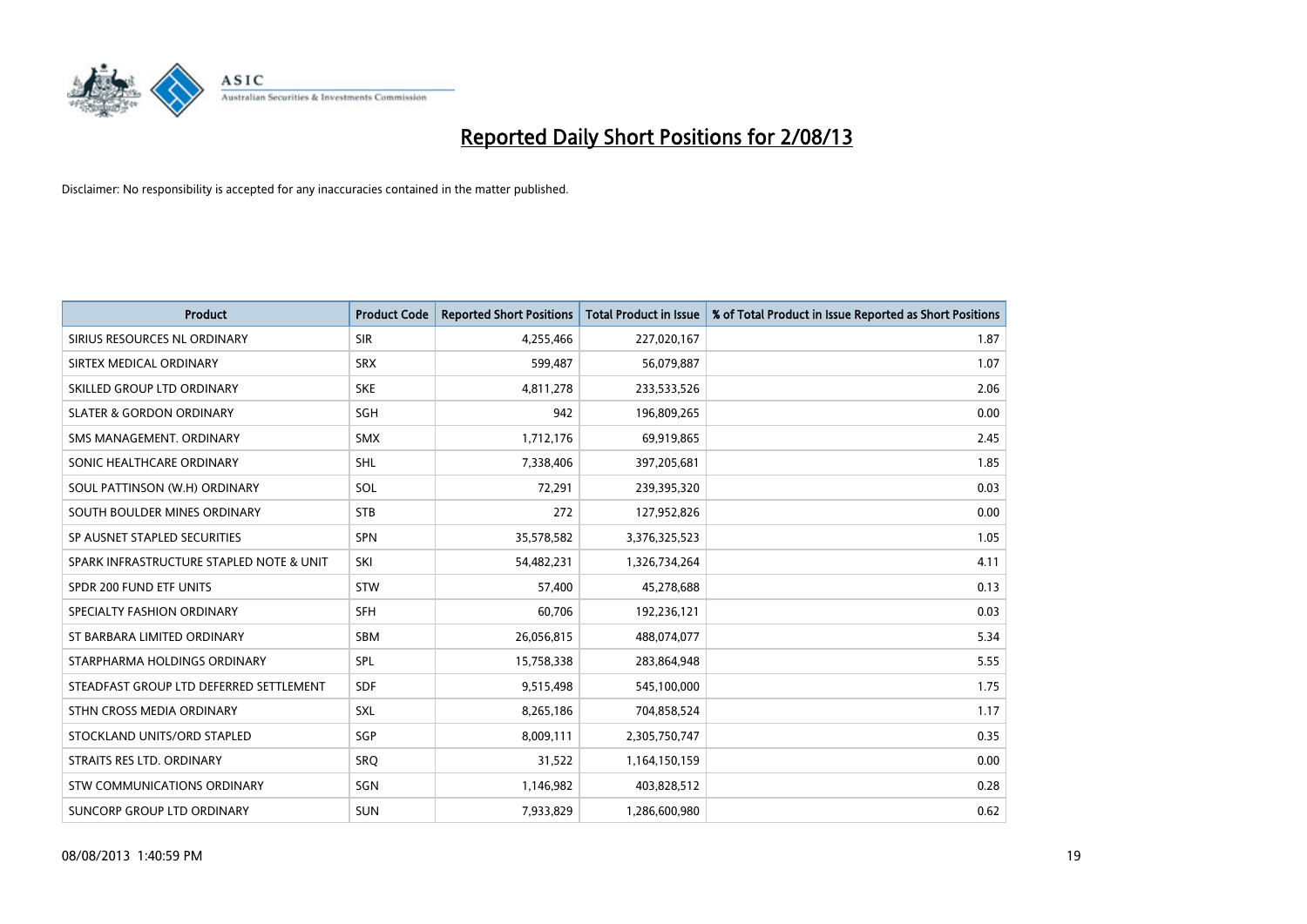

| <b>Product</b>                           | <b>Product Code</b> | <b>Reported Short Positions</b> | <b>Total Product in Issue</b> | % of Total Product in Issue Reported as Short Positions |
|------------------------------------------|---------------------|---------------------------------|-------------------------------|---------------------------------------------------------|
| SIRIUS RESOURCES NL ORDINARY             | <b>SIR</b>          | 4,255,466                       | 227,020,167                   | 1.87                                                    |
| SIRTEX MEDICAL ORDINARY                  | <b>SRX</b>          | 599,487                         | 56,079,887                    | 1.07                                                    |
| SKILLED GROUP LTD ORDINARY               | <b>SKE</b>          | 4,811,278                       | 233,533,526                   | 2.06                                                    |
| <b>SLATER &amp; GORDON ORDINARY</b>      | SGH                 | 942                             | 196,809,265                   | 0.00                                                    |
| SMS MANAGEMENT, ORDINARY                 | <b>SMX</b>          | 1,712,176                       | 69,919,865                    | 2.45                                                    |
| SONIC HEALTHCARE ORDINARY                | <b>SHL</b>          | 7,338,406                       | 397,205,681                   | 1.85                                                    |
| SOUL PATTINSON (W.H) ORDINARY            | SOL                 | 72,291                          | 239,395,320                   | 0.03                                                    |
| SOUTH BOULDER MINES ORDINARY             | <b>STB</b>          | 272                             | 127,952,826                   | 0.00                                                    |
| SP AUSNET STAPLED SECURITIES             | <b>SPN</b>          | 35,578,582                      | 3,376,325,523                 | 1.05                                                    |
| SPARK INFRASTRUCTURE STAPLED NOTE & UNIT | SKI                 | 54,482,231                      | 1,326,734,264                 | 4.11                                                    |
| SPDR 200 FUND ETF UNITS                  | <b>STW</b>          | 57,400                          | 45,278,688                    | 0.13                                                    |
| SPECIALTY FASHION ORDINARY               | <b>SFH</b>          | 60,706                          | 192,236,121                   | 0.03                                                    |
| ST BARBARA LIMITED ORDINARY              | SBM                 | 26,056,815                      | 488,074,077                   | 5.34                                                    |
| STARPHARMA HOLDINGS ORDINARY             | SPL                 | 15,758,338                      | 283,864,948                   | 5.55                                                    |
| STEADFAST GROUP LTD DEFERRED SETTLEMENT  | <b>SDF</b>          | 9,515,498                       | 545,100,000                   | 1.75                                                    |
| STHN CROSS MEDIA ORDINARY                | SXL                 | 8,265,186                       | 704,858,524                   | 1.17                                                    |
| STOCKLAND UNITS/ORD STAPLED              | SGP                 | 8,009,111                       | 2,305,750,747                 | 0.35                                                    |
| STRAITS RES LTD. ORDINARY                | SRQ                 | 31,522                          | 1,164,150,159                 | 0.00                                                    |
| STW COMMUNICATIONS ORDINARY              | SGN                 | 1,146,982                       | 403,828,512                   | 0.28                                                    |
| SUNCORP GROUP LTD ORDINARY               | <b>SUN</b>          | 7,933,829                       | 1,286,600,980                 | 0.62                                                    |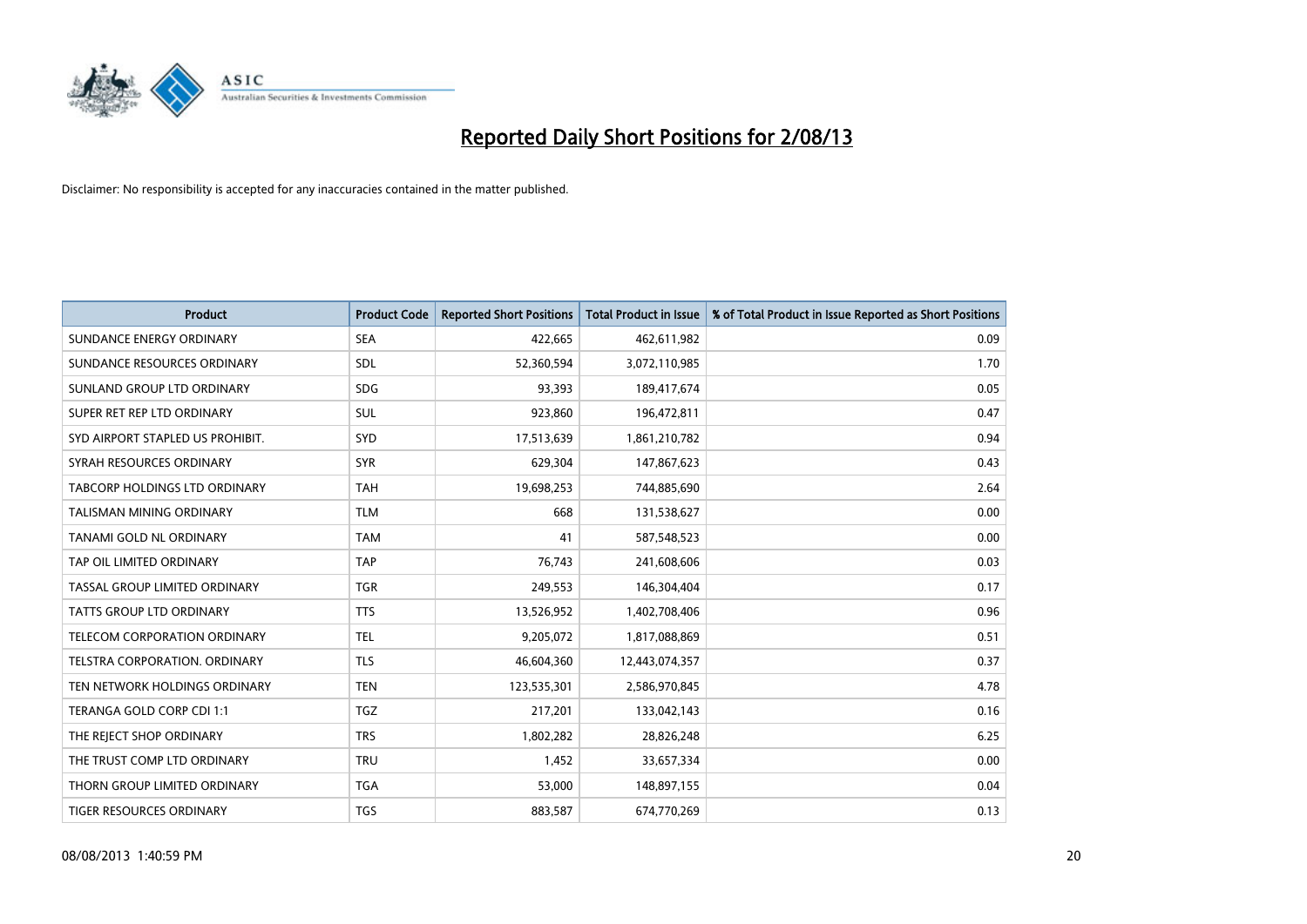

| <b>Product</b>                       | <b>Product Code</b> | <b>Reported Short Positions</b> | <b>Total Product in Issue</b> | % of Total Product in Issue Reported as Short Positions |
|--------------------------------------|---------------------|---------------------------------|-------------------------------|---------------------------------------------------------|
| SUNDANCE ENERGY ORDINARY             | <b>SEA</b>          | 422,665                         | 462,611,982                   | 0.09                                                    |
| SUNDANCE RESOURCES ORDINARY          | SDL                 | 52,360,594                      | 3,072,110,985                 | 1.70                                                    |
| SUNLAND GROUP LTD ORDINARY           | <b>SDG</b>          | 93,393                          | 189,417,674                   | 0.05                                                    |
| SUPER RET REP LTD ORDINARY           | SUL                 | 923,860                         | 196,472,811                   | 0.47                                                    |
| SYD AIRPORT STAPLED US PROHIBIT.     | <b>SYD</b>          | 17,513,639                      | 1,861,210,782                 | 0.94                                                    |
| SYRAH RESOURCES ORDINARY             | <b>SYR</b>          | 629,304                         | 147,867,623                   | 0.43                                                    |
| TABCORP HOLDINGS LTD ORDINARY        | <b>TAH</b>          | 19,698,253                      | 744,885,690                   | 2.64                                                    |
| TALISMAN MINING ORDINARY             | <b>TLM</b>          | 668                             | 131,538,627                   | 0.00                                                    |
| <b>TANAMI GOLD NL ORDINARY</b>       | <b>TAM</b>          | 41                              | 587,548,523                   | 0.00                                                    |
| TAP OIL LIMITED ORDINARY             | <b>TAP</b>          | 76,743                          | 241,608,606                   | 0.03                                                    |
| TASSAL GROUP LIMITED ORDINARY        | <b>TGR</b>          | 249,553                         | 146,304,404                   | 0.17                                                    |
| <b>TATTS GROUP LTD ORDINARY</b>      | <b>TTS</b>          | 13,526,952                      | 1,402,708,406                 | 0.96                                                    |
| TELECOM CORPORATION ORDINARY         | <b>TEL</b>          | 9,205,072                       | 1,817,088,869                 | 0.51                                                    |
| <b>TELSTRA CORPORATION, ORDINARY</b> | <b>TLS</b>          | 46,604,360                      | 12,443,074,357                | 0.37                                                    |
| TEN NETWORK HOLDINGS ORDINARY        | <b>TEN</b>          | 123,535,301                     | 2,586,970,845                 | 4.78                                                    |
| TERANGA GOLD CORP CDI 1:1            | <b>TGZ</b>          | 217,201                         | 133,042,143                   | 0.16                                                    |
| THE REJECT SHOP ORDINARY             | <b>TRS</b>          | 1,802,282                       | 28,826,248                    | 6.25                                                    |
| THE TRUST COMP LTD ORDINARY          | <b>TRU</b>          | 1,452                           | 33,657,334                    | 0.00                                                    |
| THORN GROUP LIMITED ORDINARY         | <b>TGA</b>          | 53,000                          | 148,897,155                   | 0.04                                                    |
| TIGER RESOURCES ORDINARY             | <b>TGS</b>          | 883,587                         | 674,770,269                   | 0.13                                                    |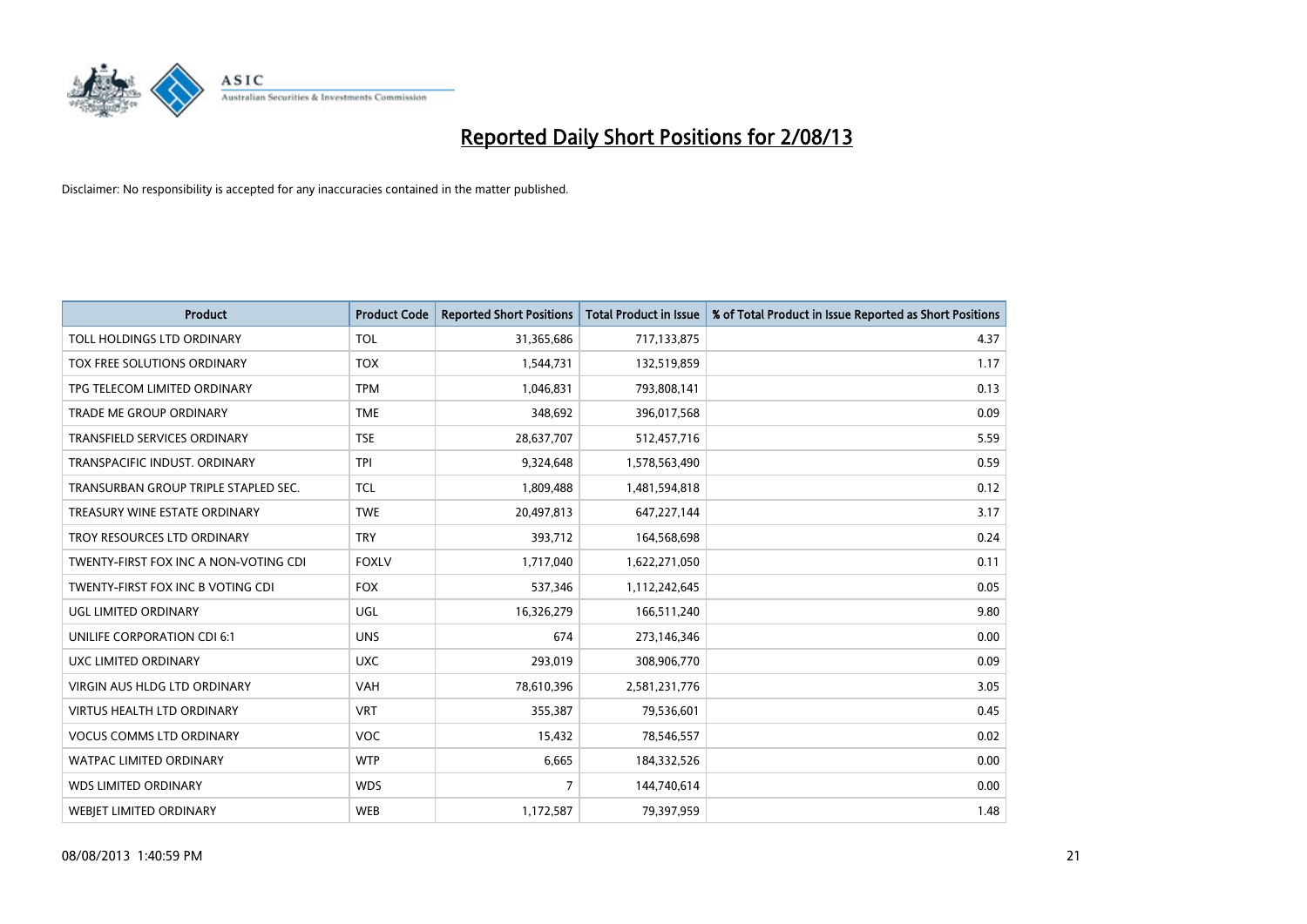

| <b>Product</b>                        | <b>Product Code</b> | <b>Reported Short Positions</b> | <b>Total Product in Issue</b> | % of Total Product in Issue Reported as Short Positions |
|---------------------------------------|---------------------|---------------------------------|-------------------------------|---------------------------------------------------------|
| TOLL HOLDINGS LTD ORDINARY            | <b>TOL</b>          | 31,365,686                      | 717,133,875                   | 4.37                                                    |
| TOX FREE SOLUTIONS ORDINARY           | <b>TOX</b>          | 1,544,731                       | 132,519,859                   | 1.17                                                    |
| TPG TELECOM LIMITED ORDINARY          | <b>TPM</b>          | 1,046,831                       | 793,808,141                   | 0.13                                                    |
| <b>TRADE ME GROUP ORDINARY</b>        | <b>TME</b>          | 348,692                         | 396,017,568                   | 0.09                                                    |
| <b>TRANSFIELD SERVICES ORDINARY</b>   | <b>TSE</b>          | 28,637,707                      | 512,457,716                   | 5.59                                                    |
| TRANSPACIFIC INDUST, ORDINARY         | <b>TPI</b>          | 9,324,648                       | 1,578,563,490                 | 0.59                                                    |
| TRANSURBAN GROUP TRIPLE STAPLED SEC.  | <b>TCL</b>          | 1,809,488                       | 1,481,594,818                 | 0.12                                                    |
| TREASURY WINE ESTATE ORDINARY         | <b>TWE</b>          | 20,497,813                      | 647,227,144                   | 3.17                                                    |
| TROY RESOURCES LTD ORDINARY           | <b>TRY</b>          | 393,712                         | 164,568,698                   | 0.24                                                    |
| TWENTY-FIRST FOX INC A NON-VOTING CDI | <b>FOXLV</b>        | 1,717,040                       | 1,622,271,050                 | 0.11                                                    |
| TWENTY-FIRST FOX INC B VOTING CDI     | <b>FOX</b>          | 537,346                         | 1,112,242,645                 | 0.05                                                    |
| UGL LIMITED ORDINARY                  | <b>UGL</b>          | 16,326,279                      | 166,511,240                   | 9.80                                                    |
| UNILIFE CORPORATION CDI 6:1           | <b>UNS</b>          | 674                             | 273,146,346                   | 0.00                                                    |
| UXC LIMITED ORDINARY                  | <b>UXC</b>          | 293,019                         | 308,906,770                   | 0.09                                                    |
| <b>VIRGIN AUS HLDG LTD ORDINARY</b>   | <b>VAH</b>          | 78,610,396                      | 2,581,231,776                 | 3.05                                                    |
| <b>VIRTUS HEALTH LTD ORDINARY</b>     | <b>VRT</b>          | 355,387                         | 79,536,601                    | 0.45                                                    |
| <b>VOCUS COMMS LTD ORDINARY</b>       | <b>VOC</b>          | 15,432                          | 78,546,557                    | 0.02                                                    |
| <b>WATPAC LIMITED ORDINARY</b>        | <b>WTP</b>          | 6,665                           | 184,332,526                   | 0.00                                                    |
| <b>WDS LIMITED ORDINARY</b>           | <b>WDS</b>          | $\overline{7}$                  | 144,740,614                   | 0.00                                                    |
| <b>WEBJET LIMITED ORDINARY</b>        | <b>WEB</b>          | 1,172,587                       | 79,397,959                    | 1.48                                                    |